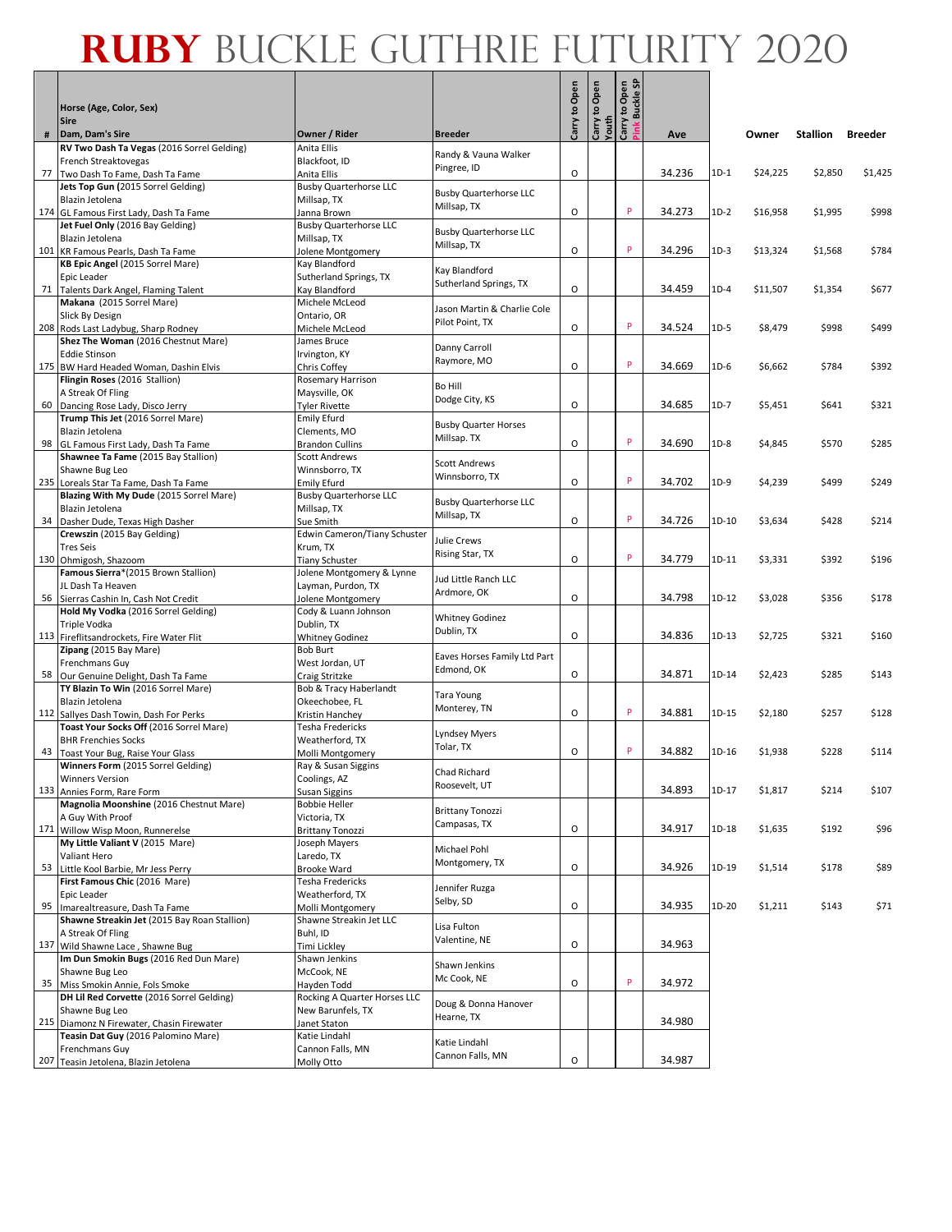|    | Horse (Age, Color, Sex)<br><b>Sire</b>                                        |                                              |                                              | to Open<br>Carry | to Open<br>Youth<br>Carry | <b>Buckle SP</b><br>Open<br>₽<br>Carry<br>Pink |        |        |          |          |                |
|----|-------------------------------------------------------------------------------|----------------------------------------------|----------------------------------------------|------------------|---------------------------|------------------------------------------------|--------|--------|----------|----------|----------------|
| #  | Dam, Dam's Sire                                                               | Owner / Rider                                | <b>Breeder</b>                               |                  |                           |                                                | Ave    |        | Owner    | Stallion | <b>Breeder</b> |
|    | RV Two Dash Ta Vegas (2016 Sorrel Gelding)<br>French Streaktovegas            | Anita Ellis<br>Blackfoot, ID                 | Randy & Vauna Walker                         |                  |                           |                                                |        |        |          |          |                |
|    | 77 Two Dash To Fame, Dash Ta Fame                                             | Anita Ellis                                  | Pingree, ID                                  | 0                |                           |                                                | 34.236 | $1D-1$ | \$24,225 | \$2,850  | \$1,425        |
|    | Jets Top Gun (2015 Sorrel Gelding)                                            | <b>Busby Quarterhorse LLC</b>                |                                              |                  |                           |                                                |        |        |          |          |                |
|    | Blazin Jetolena                                                               | Millsap, TX                                  | <b>Busby Quarterhorse LLC</b><br>Millsap, TX |                  |                           |                                                |        |        |          |          |                |
|    | 174 GL Famous First Lady, Dash Ta Fame                                        | Janna Brown                                  |                                              | $\circ$          |                           | P                                              | 34.273 | $1D-2$ | \$16,958 | \$1,995  | \$998          |
|    | Jet Fuel Only (2016 Bay Gelding)<br>Blazin Jetolena                           | <b>Busby Quarterhorse LLC</b><br>Millsap, TX | <b>Busby Quarterhorse LLC</b>                |                  |                           |                                                |        |        |          |          |                |
|    | 101 KR Famous Pearls, Dash Ta Fame                                            | Jolene Montgomery                            | Millsap, TX                                  | O                |                           | P                                              | 34.296 | $1D-3$ | \$13,324 | \$1,568  | \$784          |
|    | KB Epic Angel (2015 Sorrel Mare)                                              | Kay Blandford                                | Kay Blandford                                |                  |                           |                                                |        |        |          |          |                |
|    | Epic Leader                                                                   | Sutherland Springs, TX                       | Sutherland Springs, TX                       |                  |                           |                                                |        |        |          |          |                |
| 71 | Talents Dark Angel, Flaming Talent                                            | Kay Blandford                                |                                              | O                |                           |                                                | 34.459 | $1D-4$ | \$11,507 | \$1,354  | \$677          |
|    | Makana (2015 Sorrel Mare)<br>Slick By Design                                  | Michele McLeod<br>Ontario, OR                | Jason Martin & Charlie Cole                  |                  |                           |                                                |        |        |          |          |                |
|    | 208 Rods Last Ladybug, Sharp Rodney                                           | Michele McLeod                               | Pilot Point, TX                              | 0                |                           | P                                              | 34.524 | $1D-5$ | \$8,479  | \$998    | \$499          |
|    | Shez The Woman (2016 Chestnut Mare)                                           | James Bruce                                  |                                              |                  |                           |                                                |        |        |          |          |                |
|    | <b>Eddie Stinson</b>                                                          | Irvington, KY                                | Danny Carroll<br>Raymore, MO                 |                  |                           |                                                |        |        |          |          |                |
|    | 175 BW Hard Headed Woman, Dashin Elvis                                        | Chris Coffey                                 |                                              | O                |                           | P                                              | 34.669 | $1D-6$ | \$6,662  | \$784    | \$392          |
|    | Flingin Roses (2016 Stallion)<br>A Streak Of Fling                            | Rosemary Harrison<br>Maysville, OK           | Bo Hill                                      |                  |                           |                                                |        |        |          |          |                |
| 60 | Dancing Rose Lady, Disco Jerry                                                | Tyler Rivette                                | Dodge City, KS                               | 0                |                           |                                                | 34.685 | $1D-7$ | \$5,451  | \$641    | \$321          |
|    | Trump This Jet (2016 Sorrel Mare)                                             | <b>Emily Efurd</b>                           |                                              |                  |                           |                                                |        |        |          |          |                |
|    | Blazin Jetolena                                                               | Clements, MO                                 | <b>Busby Quarter Horses</b><br>Millsap. TX   |                  |                           |                                                |        |        |          |          |                |
| 98 | GL Famous First Lady, Dash Ta Fame                                            | <b>Brandon Cullins</b>                       |                                              | O                |                           | P                                              | 34.690 | $1D-8$ | \$4,845  | \$570    | \$285          |
|    | Shawnee Ta Fame (2015 Bay Stallion)<br>Shawne Bug Leo                         | <b>Scott Andrews</b><br>Winnsborro, TX       | <b>Scott Andrews</b>                         |                  |                           |                                                |        |        |          |          |                |
|    | 235 Loreals Star Ta Fame, Dash Ta Fame                                        | <b>Emily Efurd</b>                           | Winnsborro, TX                               | 0                |                           | P                                              | 34.702 | 1D-9   | \$4,239  | \$499    | \$249          |
|    | Blazing With My Dude (2015 Sorrel Mare)                                       | <b>Busby Quarterhorse LLC</b>                | <b>Busby Quarterhorse LLC</b>                |                  |                           |                                                |        |        |          |          |                |
|    | Blazin Jetolena                                                               | Millsap, TX                                  | Millsap, TX                                  |                  |                           |                                                |        |        |          |          |                |
| 34 | Dasher Dude, Texas High Dasher                                                | Sue Smith                                    |                                              | O                |                           | P                                              | 34.726 | 1D-10  | \$3,634  | \$428    | \$214          |
|    | Crewszin (2015 Bay Gelding)<br><b>Tres Seis</b>                               | Edwin Cameron/Tiany Schuster<br>Krum, TX     | Julie Crews                                  |                  |                           |                                                |        |        |          |          |                |
|    | 130 Ohmigosh, Shazoom                                                         | Tiany Schuster                               | Rising Star, TX                              | $\circ$          |                           | P                                              | 34.779 | 1D-11  | \$3,331  | \$392    | \$196          |
|    | Famous Sierra*(2015 Brown Stallion)                                           | Jolene Montgomery & Lynne                    | Jud Little Ranch LLC                         |                  |                           |                                                |        |        |          |          |                |
|    | JL Dash Ta Heaven                                                             | Layman, Purdon, TX                           | Ardmore, OK                                  |                  |                           |                                                |        |        |          |          |                |
|    | 56 Sierras Cashin In, Cash Not Credit                                         | Jolene Montgomery                            |                                              | 0                |                           |                                                | 34.798 | 1D-12  | \$3,028  | \$356    | \$178          |
|    | Hold My Vodka (2016 Sorrel Gelding)<br>Triple Vodka                           | Cody & Luann Johnson<br>Dublin, TX           | <b>Whitney Godinez</b>                       |                  |                           |                                                |        |        |          |          |                |
|    | 113 Fireflitsandrockets, Fire Water Flit                                      | <b>Whitney Godinez</b>                       | Dublin, TX                                   | $\circ$          |                           |                                                | 34.836 | 1D-13  | \$2,725  | \$321    | \$160          |
|    | Zipang (2015 Bay Mare)                                                        | <b>Bob Burt</b>                              | Eaves Horses Family Ltd Part                 |                  |                           |                                                |        |        |          |          |                |
|    | Frenchmans Guy                                                                | West Jordan, UT                              | Edmond, OK                                   |                  |                           |                                                |        |        |          |          |                |
|    | 58 Our Genuine Delight, Dash Ta Fame<br>TY Blazin To Win (2016 Sorrel Mare)   | Craig Stritzke<br>Bob & Tracy Haberlandt     |                                              | 0                |                           |                                                | 34.871 | 1D-14  | \$2,423  | \$285    | \$143          |
|    | Blazin Jetolena                                                               | Okeechobee, FL                               | Tara Young                                   |                  |                           |                                                |        |        |          |          |                |
|    | 112 Sallyes Dash Towin, Dash For Perks                                        | Kristin Hanchey                              | Monterey, TN                                 | 0                |                           | P                                              | 34.881 | 1D-15  | \$2,180  | \$257    | \$128          |
|    | Toast Your Socks Off (2016 Sorrel Mare)                                       | Tesha Fredericks                             | Lyndsey Myers                                |                  |                           |                                                |        |        |          |          |                |
|    | <b>BHR Frenchies Socks</b>                                                    | Weatherford, TX                              | Tolar, TX                                    |                  |                           |                                                |        |        |          |          |                |
| 43 | Toast Your Bug, Raise Your Glass<br>Winners Form (2015 Sorrel Gelding)        | Molli Montgomery                             |                                              | O                |                           | P                                              | 34.882 | 1D-16  | \$1,938  | \$228    | \$114          |
|    | Winners Version                                                               | Ray & Susan Siggins<br>Coolings, AZ          | Chad Richard                                 |                  |                           |                                                |        |        |          |          |                |
|    | 133 Annies Form, Rare Form                                                    | Susan Siggins                                | Roosevelt, UT                                |                  |                           |                                                | 34.893 | 1D-17  | \$1,817  | \$214    | \$107          |
|    | Magnolia Moonshine (2016 Chestnut Mare)                                       | <b>Bobbie Heller</b>                         | <b>Brittany Tonozzi</b>                      |                  |                           |                                                |        |        |          |          |                |
|    | A Guy With Proof                                                              | Victoria, TX                                 | Campasas, TX                                 |                  |                           |                                                |        |        |          |          |                |
|    | 171 Willow Wisp Moon, Runnerelse<br>My Little Valiant V (2015 Mare)           | <b>Brittany Tonozzi</b><br>Joseph Mayers     |                                              | O                |                           |                                                | 34.917 | 1D-18  | \$1,635  | \$192    | \$96           |
|    | Valiant Hero                                                                  | Laredo, TX                                   | Michael Pohl                                 |                  |                           |                                                |        |        |          |          |                |
|    | 53 Little Kool Barbie, Mr Jess Perry                                          | Brooke Ward                                  | Montgomery, TX                               | O                |                           |                                                | 34.926 | 1D-19  | \$1,514  | \$178    | \$89           |
|    | First Famous Chic (2016 Mare)                                                 | Tesha Fredericks                             | Jennifer Ruzga                               |                  |                           |                                                |        |        |          |          |                |
|    | Epic Leader                                                                   | Weatherford, TX                              | Selby, SD                                    |                  |                           |                                                |        |        |          |          |                |
| 95 | Imarealtreasure, Dash Ta Fame<br>Shawne Streakin Jet (2015 Bay Roan Stallion) | Molli Montgomery<br>Shawne Streakin Jet LLC  |                                              | O                |                           |                                                | 34.935 | 1D-20  | \$1,211  | \$143    | \$71           |
|    | A Streak Of Fling                                                             | Buhl, ID                                     | Lisa Fulton                                  |                  |                           |                                                |        |        |          |          |                |
|    | 137 Wild Shawne Lace, Shawne Bug                                              | Timi Lickley                                 | Valentine, NE                                | O                |                           |                                                | 34.963 |        |          |          |                |
|    | Im Dun Smokin Bugs (2016 Red Dun Mare)                                        | Shawn Jenkins                                | Shawn Jenkins                                |                  |                           |                                                |        |        |          |          |                |
|    | Shawne Bug Leo                                                                | McCook, NE                                   | Mc Cook, NE                                  |                  |                           | P                                              |        |        |          |          |                |
|    | 35 Miss Smokin Annie, Fols Smoke<br>DH Lil Red Corvette (2016 Sorrel Gelding) | Hayden Todd<br>Rocking A Quarter Horses LLC  |                                              | O                |                           |                                                | 34.972 |        |          |          |                |
|    | Shawne Bug Leo                                                                | New Barunfels, TX                            | Doug & Donna Hanover                         |                  |                           |                                                |        |        |          |          |                |
|    | 215 Diamonz N Firewater, Chasin Firewater                                     | Janet Staton                                 | Hearne, TX                                   |                  |                           |                                                | 34.980 |        |          |          |                |
|    | Teasin Dat Guy (2016 Palomino Mare)                                           | Katie Lindahl                                | Katie Lindahl                                |                  |                           |                                                |        |        |          |          |                |
|    | Frenchmans Guy                                                                | Cannon Falls, MN                             | Cannon Falls, MN                             |                  |                           |                                                |        |        |          |          |                |
|    | 207 Teasin Jetolena, Blazin Jetolena                                          | Molly Otto                                   |                                              | O                |                           |                                                | 34.987 |        |          |          |                |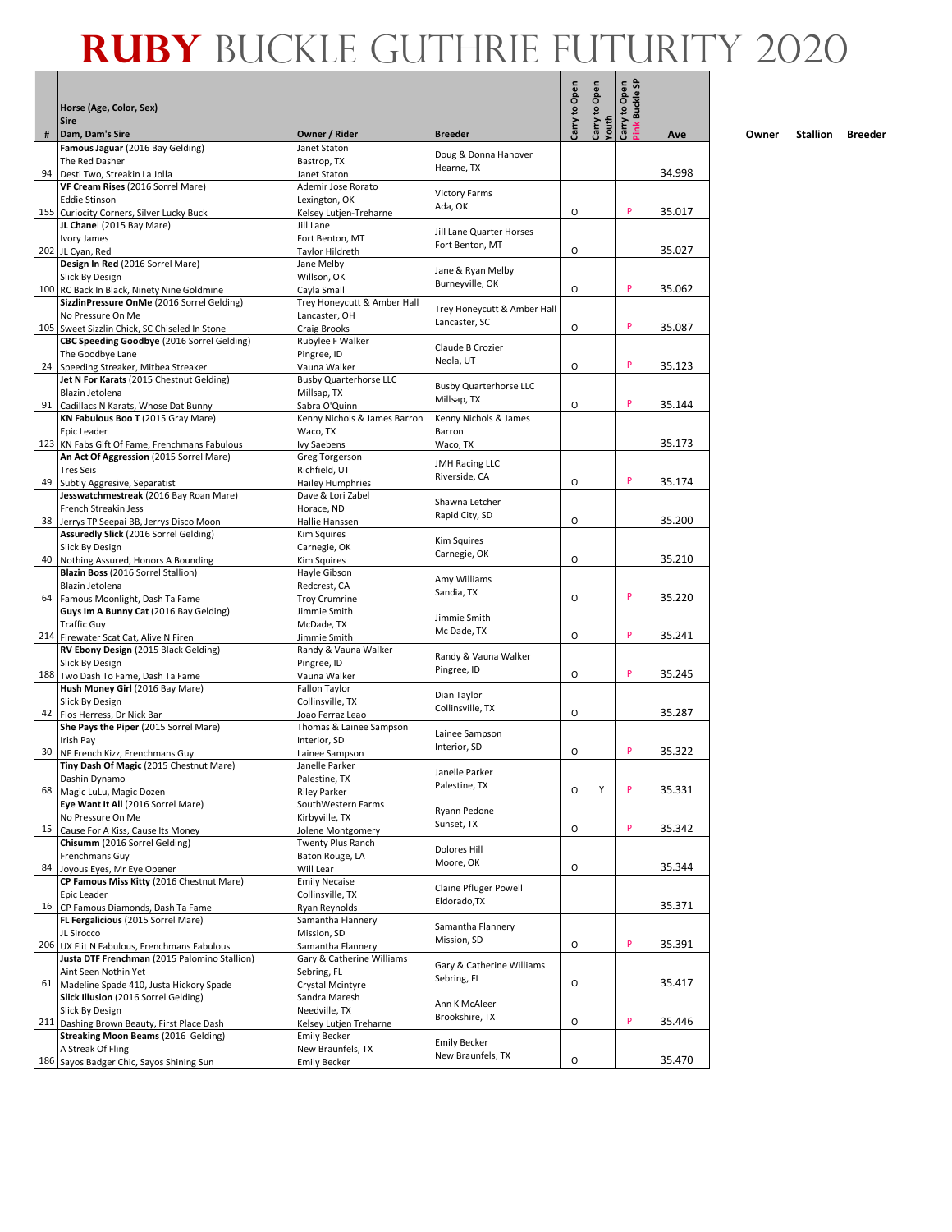|    | Horse (Age, Color, Sex)                                                                  |                                               |                                  | Carry to Open | Carry to Open<br>Youth | Carry to Open<br><b>Buckle SP</b> |        |
|----|------------------------------------------------------------------------------------------|-----------------------------------------------|----------------------------------|---------------|------------------------|-----------------------------------|--------|
|    | <b>Sire</b>                                                                              |                                               |                                  |               |                        | Pink                              |        |
| #  | Dam, Dam's Sire                                                                          | Owner / Rider                                 | <b>Breeder</b>                   |               |                        |                                   | Ave    |
|    | Famous Jaguar (2016 Bay Gelding)<br>The Red Dasher                                       | Janet Staton<br>Bastrop, TX                   | Doug & Donna Hanover             |               |                        |                                   |        |
| 94 | Desti Two, Streakin La Jolla                                                             | Janet Staton                                  | Hearne, TX                       |               |                        |                                   | 34.998 |
|    | VF Cream Rises (2016 Sorrel Mare)                                                        | Ademir Jose Rorato                            |                                  |               |                        |                                   |        |
|    | <b>Eddie Stinson</b>                                                                     | Lexington, OK                                 | <b>Victory Farms</b><br>Ada, OK  |               |                        |                                   |        |
|    | 155 Curiocity Corners, Silver Lucky Buck                                                 | Kelsey Lutjen-Treharne<br>Jill Lane           |                                  | O             |                        | P                                 | 35.017 |
|    | JL Chanel (2015 Bay Mare)<br>Ivory James                                                 | Fort Benton, MT                               | Jill Lane Quarter Horses         |               |                        |                                   |        |
|    | 202 JL Cyan, Red                                                                         | Taylor Hildreth                               | Fort Benton, MT                  | O             |                        |                                   | 35.027 |
|    | Design In Red (2016 Sorrel Mare)                                                         | Jane Melby                                    | Jane & Ryan Melby                |               |                        |                                   |        |
|    | Slick By Design                                                                          | Willson, OK                                   | Burneyville, OK                  | O             |                        | P                                 |        |
|    | 100 RC Back In Black, Ninety Nine Goldmine<br>SizzlinPressure OnMe (2016 Sorrel Gelding) | Cayla Small<br>Trey Honeycutt & Amber Hall    |                                  |               |                        |                                   | 35.062 |
|    | No Pressure On Me                                                                        | Lancaster, OH                                 | Trey Honeycutt & Amber Hall      |               |                        |                                   |        |
|    | 105 Sweet Sizzlin Chick, SC Chiseled In Stone                                            | <b>Craig Brooks</b>                           | Lancaster, SC                    | O             |                        | P                                 | 35.087 |
|    | CBC Speeding Goodbye (2016 Sorrel Gelding)                                               | Rubylee F Walker                              | Claude B Crozier                 |               |                        |                                   |        |
|    | The Goodbye Lane                                                                         | Pingree, ID                                   | Neola, UT                        | O             |                        | P                                 |        |
|    | 24 Speeding Streaker, Mitbea Streaker<br>Jet N For Karats (2015 Chestnut Gelding)        | Vauna Walker<br><b>Busby Quarterhorse LLC</b> |                                  |               |                        |                                   | 35.123 |
|    | Blazin Jetolena                                                                          | Millsap, TX                                   | <b>Busby Quarterhorse LLC</b>    |               |                        |                                   |        |
| 91 | Cadillacs N Karats, Whose Dat Bunny                                                      | Sabra O'Quinn                                 | Millsap, TX                      | O             |                        | P                                 | 35.144 |
|    | KN Fabulous Boo T (2015 Gray Mare)                                                       | Kenny Nichols & James Barron                  | Kenny Nichols & James            |               |                        |                                   |        |
|    | Epic Leader                                                                              | Waco, TX                                      | Barron                           |               |                        |                                   | 35.173 |
|    | 123 KN Fabs Gift Of Fame, Frenchmans Fabulous<br>An Act Of Aggression (2015 Sorrel Mare) | Ivy Saebens<br>Greg Torgerson                 | Waco, TX                         |               |                        |                                   |        |
|    | <b>Tres Seis</b>                                                                         | Richfield, UT                                 | <b>JMH Racing LLC</b>            |               |                        |                                   |        |
|    | 49 Subtly Aggresive, Separatist                                                          | <b>Hailey Humphries</b>                       | Riverside, CA                    | O             |                        | P                                 | 35.174 |
|    | Jesswatchmestreak (2016 Bay Roan Mare)                                                   | Dave & Lori Zabel                             | Shawna Letcher                   |               |                        |                                   |        |
|    | French Streakin Jess                                                                     | Horace, ND                                    | Rapid City, SD                   | O             |                        |                                   | 35.200 |
|    | 38 Jerrys TP Seepai BB, Jerrys Disco Moon<br>Assuredly Slick (2016 Sorrel Gelding)       | Hallie Hanssen<br>Kim Squires                 |                                  |               |                        |                                   |        |
|    | Slick By Design                                                                          | Carnegie, OK                                  | <b>Kim Squires</b>               |               |                        |                                   |        |
| 40 | Nothing Assured, Honors A Bounding                                                       | Kim Squires                                   | Carnegie, OK                     | O             |                        |                                   | 35.210 |
|    | Blazin Boss (2016 Sorrel Stallion)                                                       | Hayle Gibson                                  | Amy Williams                     |               |                        |                                   |        |
|    | Blazin Jetolena<br>64 Famous Moonlight, Dash Ta Fame                                     | Redcrest, CA                                  | Sandia, TX                       | O             |                        | P                                 | 35.220 |
|    | Guys Im A Bunny Cat (2016 Bay Gelding)                                                   | <b>Troy Crumrine</b><br>Jimmie Smith          |                                  |               |                        |                                   |        |
|    | <b>Traffic Guy</b>                                                                       | McDade, TX                                    | Jimmie Smith                     |               |                        |                                   |        |
|    | 214 Firewater Scat Cat, Alive N Firen                                                    | Jimmie Smith                                  | Mc Dade, TX                      | O             |                        | P                                 | 35.241 |
|    | RV Ebony Design (2015 Black Gelding)                                                     | Randy & Vauna Walker                          | Randy & Vauna Walker             |               |                        |                                   |        |
|    | Slick By Design<br>188 Two Dash To Fame, Dash Ta Fame                                    | Pingree, ID<br>Vauna Walker                   | Pingree, ID                      | O             |                        | P                                 | 35.245 |
|    | Hush Money Girl (2016 Bay Mare)                                                          | Fallon Taylor                                 |                                  |               |                        |                                   |        |
|    | Slick By Design                                                                          | Collinsville, TX                              | Dian Taylor                      |               |                        |                                   |        |
|    | 42 Flos Herress, Dr Nick Bar                                                             | Joao Ferraz Leao                              | Collinsville, TX                 | O             |                        |                                   | 35.287 |
|    | She Pays the Piper (2015 Sorrel Mare)                                                    | Thomas & Lainee Sampson                       | Lainee Sampson                   |               |                        |                                   |        |
| 30 | Irish Pay<br>NF French Kizz, Frenchmans Guy                                              | Interior, SD<br>Lainee Sampson                | Interior, SD                     | O             |                        | P                                 | 35.322 |
|    | Tiny Dash Of Magic (2015 Chestnut Mare)                                                  | Janelle Parker                                |                                  |               |                        |                                   |        |
|    | Dashin Dynamo                                                                            | Palestine, TX                                 | Janelle Parker<br>Palestine, TX  |               |                        |                                   |        |
| 68 | Magic LuLu, Magic Dozen                                                                  | <b>Riley Parker</b>                           |                                  | O             | Υ                      | P                                 | 35.331 |
|    | Eye Want It All (2016 Sorrel Mare)                                                       | SouthWestern Farms<br>Kirbyville, TX          | Ryann Pedone                     |               |                        |                                   |        |
|    | No Pressure On Me<br>15 Cause For A Kiss, Cause Its Money                                | Jolene Montgomery                             | Sunset, TX                       | O             |                        | P                                 | 35.342 |
|    | Chisumm (2016 Sorrel Gelding)                                                            | Twenty Plus Ranch                             |                                  |               |                        |                                   |        |
|    | Frenchmans Guy                                                                           | Baton Rouge, LA                               | <b>Dolores Hill</b><br>Moore, OK |               |                        |                                   |        |
|    | 84 Joyous Eyes, Mr Eye Opener                                                            | Will Lear                                     |                                  | O             |                        |                                   | 35.344 |
|    | CP Famous Miss Kitty (2016 Chestnut Mare)                                                | <b>Emily Necaise</b>                          | Claine Pfluger Powell            |               |                        |                                   |        |
|    | Epic Leader<br>16 CP Famous Diamonds, Dash Ta Fame                                       | Collinsville, TX<br><b>Ryan Reynolds</b>      | Eldorado, TX                     |               |                        |                                   | 35.371 |
|    | FL Fergalicious (2015 Sorrel Mare)                                                       | Samantha Flannery                             |                                  |               |                        |                                   |        |
|    | JL Sirocco                                                                               | Mission, SD                                   | Samantha Flannery<br>Mission, SD |               |                        |                                   |        |
|    | 206 UX Flit N Fabulous, Frenchmans Fabulous                                              | Samantha Flannery                             |                                  | O             |                        | P                                 | 35.391 |
|    | Justa DTF Frenchman (2015 Palomino Stallion)<br>Aint Seen Nothin Yet                     | Gary & Catherine Williams                     | Gary & Catherine Williams        |               |                        |                                   |        |
|    | 61 Madeline Spade 410, Justa Hickory Spade                                               | Sebring, FL<br>Crystal Mcintyre               | Sebring, FL                      | О             |                        |                                   | 35.417 |
|    | Slick Illusion (2016 Sorrel Gelding)                                                     | Sandra Maresh                                 |                                  |               |                        |                                   |        |
|    | Slick By Design                                                                          | Needville, TX                                 | Ann K McAleer<br>Brookshire, TX  |               |                        |                                   |        |
|    | 211 Dashing Brown Beauty, First Place Dash                                               | Kelsey Lutjen Treharne                        |                                  | O             |                        | P                                 | 35.446 |
|    | Streaking Moon Beams (2016 Gelding)<br>A Streak Of Fling                                 | <b>Emily Becker</b><br>New Braunfels, TX      | <b>Emily Becker</b>              |               |                        |                                   |        |
|    | 186 Sayos Badger Chic, Sayos Shining Sun                                                 | <b>Emily Becker</b>                           | New Braunfels, TX                | O             |                        |                                   | 35.470 |
|    |                                                                                          |                                               |                                  |               |                        |                                   |        |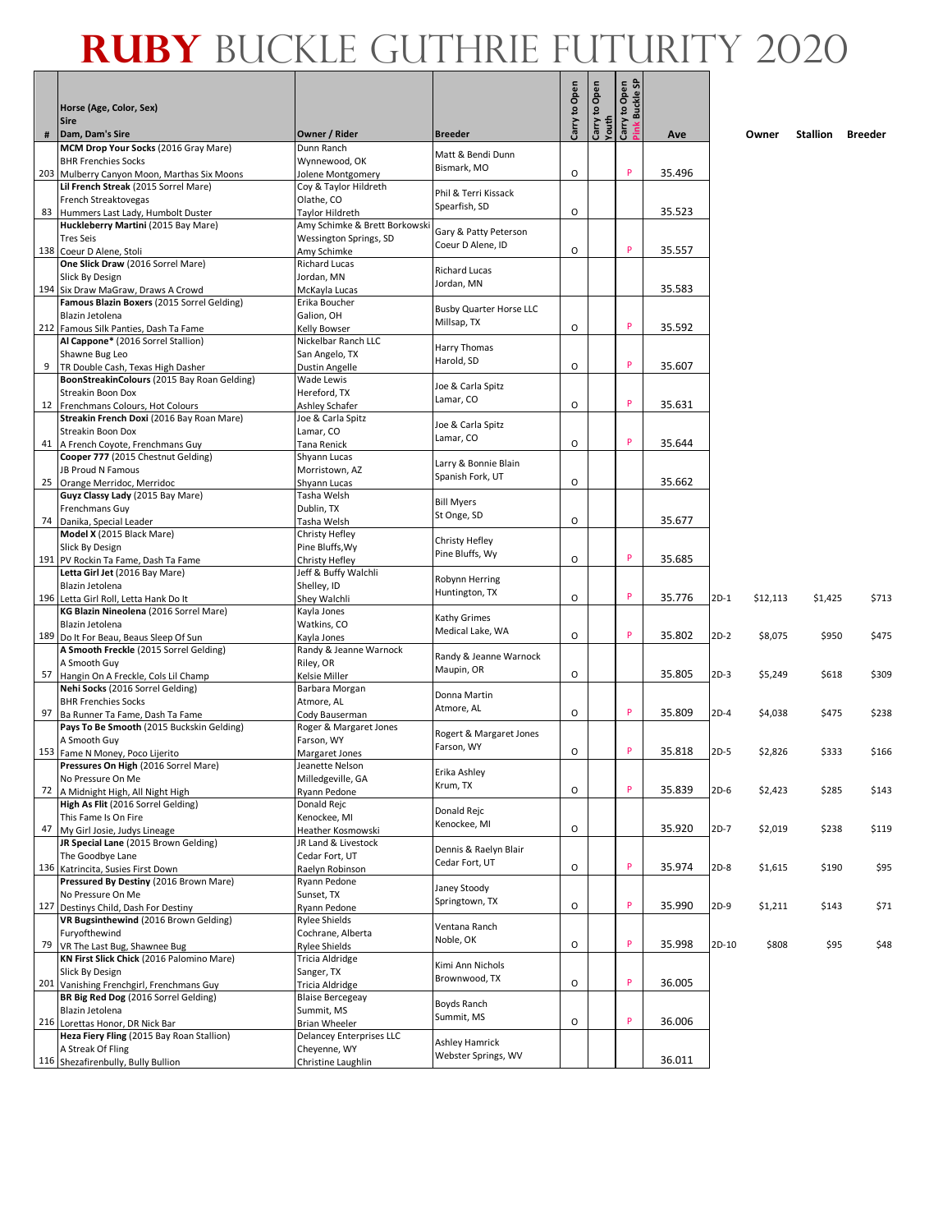|    | Horse (Age, Color, Sex)<br><b>Sire</b>                                              |                                            |                                               | Open<br>S, | Open<br>g   | Open<br><b>Buckle SP</b><br>Carry to |        |        |          |          |                |
|----|-------------------------------------------------------------------------------------|--------------------------------------------|-----------------------------------------------|------------|-------------|--------------------------------------|--------|--------|----------|----------|----------------|
| #  | Dam, Dam's Sire                                                                     | Owner / Rider                              | <b>Breeder</b>                                | Carry      | Youth<br>වි |                                      | Ave    |        | Owner    | Stallion | <b>Breeder</b> |
|    | MCM Drop Your Socks (2016 Gray Mare)                                                | Dunn Ranch                                 | Matt & Bendi Dunn                             |            |             |                                      |        |        |          |          |                |
|    | <b>BHR Frenchies Socks</b>                                                          | Wynnewood, OK                              | Bismark, MO                                   |            |             | P                                    |        |        |          |          |                |
|    | 203 Mulberry Canyon Moon, Marthas Six Moons<br>Lil French Streak (2015 Sorrel Mare) | Jolene Montgomery<br>Coy & Taylor Hildreth |                                               | O          |             |                                      | 35.496 |        |          |          |                |
|    | French Streaktovegas                                                                | Olathe, CO                                 | Phil & Terri Kissack                          |            |             |                                      |        |        |          |          |                |
| 83 | Hummers Last Lady, Humbolt Duster                                                   | Taylor Hildreth                            | Spearfish, SD                                 | O          |             |                                      | 35.523 |        |          |          |                |
|    | Huckleberry Martini (2015 Bay Mare)                                                 | Amy Schimke & Brett Borkowski              | Gary & Patty Peterson                         |            |             |                                      |        |        |          |          |                |
|    | <b>Tres Seis</b>                                                                    | Wessington Springs, SD                     | Coeur D Alene, ID                             |            |             |                                      |        |        |          |          |                |
|    | 138 Coeur D Alene, Stoli                                                            | Amy Schimke                                |                                               | O          |             | P                                    | 35.557 |        |          |          |                |
|    | One Slick Draw (2016 Sorrel Mare)<br>Slick By Design                                | <b>Richard Lucas</b><br>Jordan, MN         | <b>Richard Lucas</b>                          |            |             |                                      |        |        |          |          |                |
|    | 194 Six Draw MaGraw, Draws A Crowd                                                  | McKayla Lucas                              | Jordan, MN                                    |            |             |                                      | 35.583 |        |          |          |                |
|    | Famous Blazin Boxers (2015 Sorrel Gelding)                                          | Erika Boucher                              |                                               |            |             |                                      |        |        |          |          |                |
|    | Blazin Jetolena                                                                     | Galion, OH                                 | <b>Busby Quarter Horse LLC</b><br>Millsap, TX |            |             |                                      |        |        |          |          |                |
|    | 212 Famous Silk Panties, Dash Ta Fame                                               | Kelly Bowser                               |                                               | O          |             | P                                    | 35.592 |        |          |          |                |
|    | Al Cappone* (2016 Sorrel Stallion)                                                  | Nickelbar Ranch LLC                        | Harry Thomas                                  |            |             |                                      |        |        |          |          |                |
|    | Shawne Bug Leo<br>TR Double Cash, Texas High Dasher                                 | San Angelo, TX                             | Harold, SD                                    | O          |             | P                                    | 35.607 |        |          |          |                |
|    | BoonStreakinColours (2015 Bay Roan Gelding)                                         | Dustin Angelle<br><b>Wade Lewis</b>        |                                               |            |             |                                      |        |        |          |          |                |
|    | Streakin Boon Dox                                                                   | Hereford, TX                               | Joe & Carla Spitz                             |            |             |                                      |        |        |          |          |                |
| 12 | Frenchmans Colours, Hot Colours                                                     | Ashley Schafer                             | Lamar, CO                                     | O          |             | P                                    | 35.631 |        |          |          |                |
|    | Streakin French Doxi (2016 Bay Roan Mare)                                           | Joe & Carla Spitz                          | Joe & Carla Spitz                             |            |             |                                      |        |        |          |          |                |
|    | Streakin Boon Dox                                                                   | Lamar, CO                                  | Lamar, CO                                     |            |             | P                                    |        |        |          |          |                |
| 41 | A French Coyote, Frenchmans Guy<br>Cooper 777 (2015 Chestnut Gelding)               | Tana Renick<br>Shyann Lucas                |                                               | O          |             |                                      | 35.644 |        |          |          |                |
|    | <b>JB Proud N Famous</b>                                                            | Morristown, AZ                             | Larry & Bonnie Blain                          |            |             |                                      |        |        |          |          |                |
|    | 25 Orange Merridoc, Merridoc                                                        | Shyann Lucas                               | Spanish Fork, UT                              | O          |             |                                      | 35.662 |        |          |          |                |
|    | Guyz Classy Lady (2015 Bay Mare)                                                    | Tasha Welsh                                |                                               |            |             |                                      |        |        |          |          |                |
|    | Frenchmans Guy                                                                      | Dublin, TX                                 | <b>Bill Myers</b><br>St Onge, SD              |            |             |                                      |        |        |          |          |                |
| 74 | Danika, Special Leader                                                              | Tasha Welsh                                |                                               | O          |             |                                      | 35.677 |        |          |          |                |
|    | Model X (2015 Black Mare)                                                           | Christy Hefley                             | Christy Hefley                                |            |             |                                      |        |        |          |          |                |
|    | Slick By Design<br>191 PV Rockin Ta Fame, Dash Ta Fame                              | Pine Bluffs, Wy<br>Christy Hefley          | Pine Bluffs, Wy                               | O          |             | P                                    | 35.685 |        |          |          |                |
|    | Letta Girl Jet (2016 Bay Mare)                                                      | Jeff & Buffy Walchli                       |                                               |            |             |                                      |        |        |          |          |                |
|    | Blazin Jetolena                                                                     | Shelley, ID                                | Robynn Herring                                |            |             |                                      |        |        |          |          |                |
|    | 196 Letta Girl Roll, Letta Hank Do It                                               | Shey Walchli                               | Huntington, TX                                | O          |             | P                                    | 35.776 | $2D-1$ | \$12,113 | \$1,425  | \$713          |
|    | KG Blazin Nineolena (2016 Sorrel Mare)                                              | Kayla Jones                                | Kathy Grimes                                  |            |             |                                      |        |        |          |          |                |
|    | Blazin Jetolena<br>189 Do It For Beau, Beaus Sleep Of Sun                           | Watkins, CO                                | Medical Lake, WA                              | O          |             | P                                    | 35.802 | $2D-2$ | \$8,075  | \$950    | \$475          |
|    | A Smooth Freckle (2015 Sorrel Gelding)                                              | Kayla Jones<br>Randy & Jeanne Warnock      |                                               |            |             |                                      |        |        |          |          |                |
|    | A Smooth Guy                                                                        | Riley, OR                                  | Randy & Jeanne Warnock                        |            |             |                                      |        |        |          |          |                |
| 57 | Hangin On A Freckle, Cols Lil Champ                                                 | Kelsie Miller                              | Maupin, OR                                    | O          |             |                                      | 35.805 | $2D-3$ | \$5,249  | \$618    | \$309          |
|    | Nehi Socks (2016 Sorrel Gelding)                                                    | Barbara Morgan                             | Donna Martin                                  |            |             |                                      |        |        |          |          |                |
|    | <b>BHR Frenchies Socks</b>                                                          | Atmore, AL                                 | Atmore, AL                                    | O          |             | P                                    | 35.809 | $2D-4$ |          |          |                |
| 97 | Ba Runner Ta Fame, Dash Ta Fame<br>Pays To Be Smooth (2015 Buckskin Gelding)        | Cody Bauserman<br>Roger & Margaret Jones   |                                               |            |             |                                      |        |        | \$4,038  | \$475    | \$238          |
|    | A Smooth Guy                                                                        | Farson, WY                                 | Rogert & Margaret Jones                       |            |             |                                      |        |        |          |          |                |
|    | 153 Fame N Money, Poco Lijerito                                                     | Margaret Jones                             | Farson, WY                                    | O          |             | P                                    | 35.818 | $2D-5$ | \$2,826  | \$333    | \$166          |
|    | Pressures On High (2016 Sorrel Mare)                                                | Jeanette Nelson                            | Erika Ashley                                  |            |             |                                      |        |        |          |          |                |
|    | No Pressure On Me                                                                   | Milledgeville, GA                          | Krum, TX                                      |            |             | P                                    |        |        |          |          |                |
| 72 | A Midnight High, All Night High<br>High As Flit (2016 Sorrel Gelding)               | Ryann Pedone<br>Donald Rejc                |                                               | O          |             |                                      | 35.839 | $2D-6$ | \$2,423  | \$285    | \$143          |
|    | This Fame Is On Fire                                                                | Kenockee, MI                               | Donald Rejc                                   |            |             |                                      |        |        |          |          |                |
|    | 47 My Girl Josie, Judys Lineage                                                     | Heather Kosmowski                          | Kenockee, MI                                  | O          |             |                                      | 35.920 | $2D-7$ | \$2,019  | \$238    | \$119          |
|    | JR Special Lane (2015 Brown Gelding)                                                | JR Land & Livestock                        | Dennis & Raelyn Blair                         |            |             |                                      |        |        |          |          |                |
|    | The Goodbye Lane                                                                    | Cedar Fort, UT                             | Cedar Fort, UT                                |            |             |                                      |        |        |          |          |                |
|    | 136 Katrincita, Susies First Down                                                   | Raelyn Robinson                            |                                               | O          |             | P                                    | 35.974 | $2D-8$ | \$1,615  | \$190    | \$95           |
|    | Pressured By Destiny (2016 Brown Mare)<br>No Pressure On Me                         | Ryann Pedone<br>Sunset, TX                 | Janey Stoody                                  |            |             |                                      |        |        |          |          |                |
|    | 127 Destinys Child, Dash For Destiny                                                | Ryann Pedone                               | Springtown, TX                                | O          |             | P                                    | 35.990 | $2D-9$ | \$1,211  | \$143    | \$71           |
|    | VR Bugsinthewind (2016 Brown Gelding)                                               | Rylee Shields                              |                                               |            |             |                                      |        |        |          |          |                |
|    | Furyofthewind                                                                       | Cochrane, Alberta                          | Ventana Ranch<br>Noble, OK                    |            |             |                                      |        |        |          |          |                |
| 79 | VR The Last Bug, Shawnee Bug                                                        | Rylee Shields                              |                                               | O          |             | P                                    | 35.998 | 2D-10  | \$808    | \$95     | \$48           |
|    | KN First Slick Chick (2016 Palomino Mare)                                           | Tricia Aldridge                            | Kimi Ann Nichols                              |            |             |                                      |        |        |          |          |                |
|    | Slick By Design<br>201 Vanishing Frenchgirl, Frenchmans Guy                         | Sanger, TX<br>Tricia Aldridge              | Brownwood, TX                                 | O          |             | P                                    | 36.005 |        |          |          |                |
|    | BR Big Red Dog (2016 Sorrel Gelding)                                                | <b>Blaise Bercegeay</b>                    |                                               |            |             |                                      |        |        |          |          |                |
|    | Blazin Jetolena                                                                     | Summit, MS                                 | Boyds Ranch                                   |            |             |                                      |        |        |          |          |                |
|    | 216 Lorettas Honor, DR Nick Bar                                                     | <b>Brian Wheeler</b>                       | Summit, MS                                    | O          |             | P                                    | 36.006 |        |          |          |                |
|    | Heza Fiery Fling (2015 Bay Roan Stallion)                                           | Delancey Enterprises LLC                   | Ashley Hamrick                                |            |             |                                      |        |        |          |          |                |
|    | A Streak Of Fling                                                                   | Cheyenne, WY                               | Webster Springs, WV                           |            |             |                                      | 36.011 |        |          |          |                |
|    | 116 Shezafirenbully, Bully Bullion                                                  | Christine Laughlin                         |                                               |            |             |                                      |        |        |          |          |                |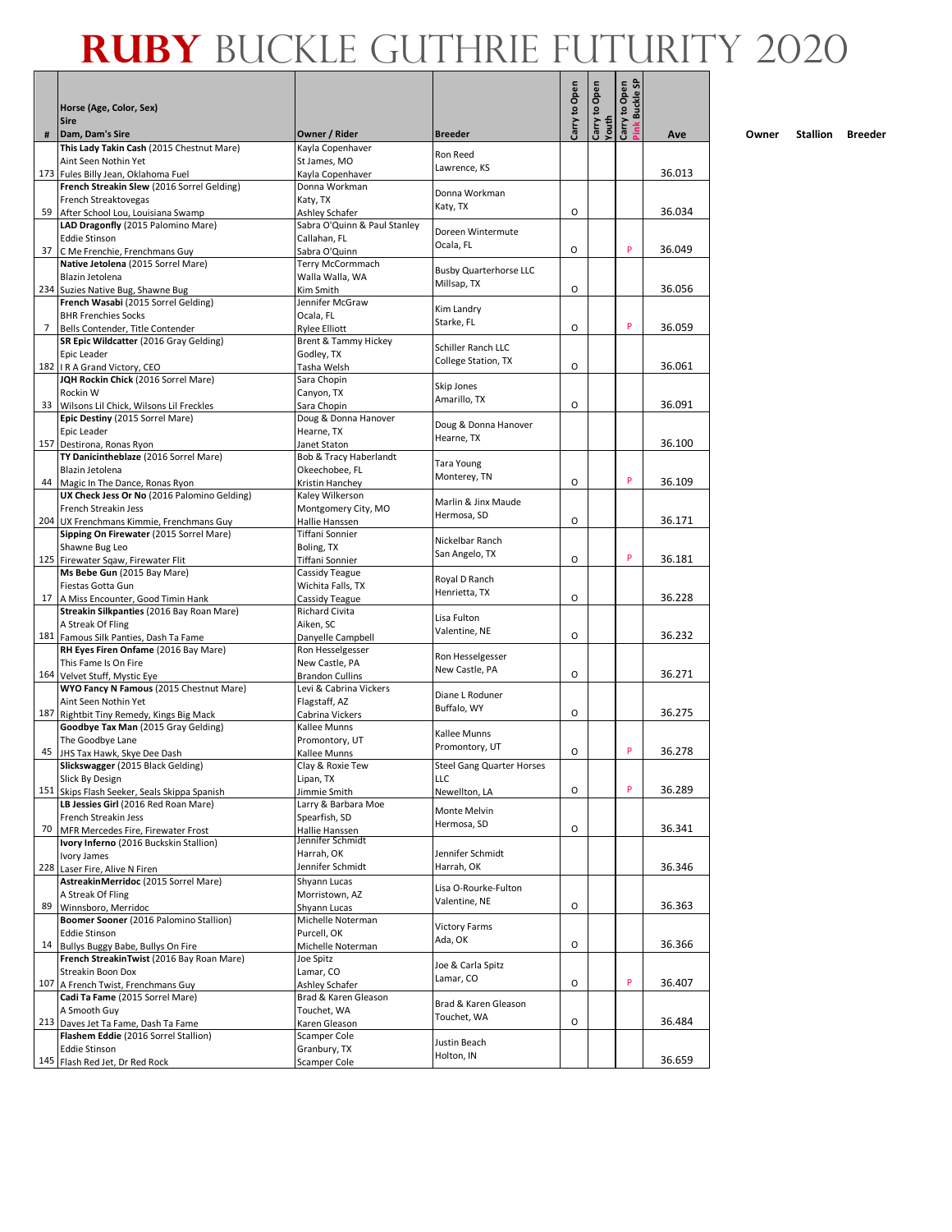|     |                                                                                   |                                        |                                           |               |               | Carry to Open<br><b>Buckle SF</b> |        |
|-----|-----------------------------------------------------------------------------------|----------------------------------------|-------------------------------------------|---------------|---------------|-----------------------------------|--------|
|     | Horse (Age, Color, Sex)                                                           |                                        |                                           | Carry to Open | Carry to Open |                                   |        |
|     | <b>Sire</b><br>Dam, Dam's Sire                                                    | Owner / Rider                          |                                           |               | Youth         |                                   |        |
| #   | This Lady Takin Cash (2015 Chestnut Mare)                                         | Kayla Copenhaver                       | <b>Breeder</b>                            |               |               |                                   | Ave    |
|     | Aint Seen Nothin Yet                                                              | St James, MO                           | Ron Reed                                  |               |               |                                   |        |
|     | 173 Fules Billy Jean, Oklahoma Fuel                                               | Kayla Copenhaver                       | Lawrence, KS                              |               |               |                                   | 36.013 |
|     | French Streakin Slew (2016 Sorrel Gelding)<br>French Streaktovegas                | Donna Workman<br>Katy, TX              | Donna Workman                             |               |               |                                   |        |
|     | 59 After School Lou, Louisiana Swamp                                              | Ashley Schafer                         | Katy, TX                                  | O             |               |                                   | 36.034 |
|     | LAD Dragonfly (2015 Palomino Mare)                                                | Sabra O'Quinn & Paul Stanley           | Doreen Wintermute                         |               |               |                                   |        |
|     | <b>Eddie Stinson</b>                                                              | Callahan, FL                           | Ocala, FL                                 | O             |               | P                                 |        |
| 37  | C Me Frenchie, Frenchmans Guy<br>Native Jetolena (2015 Sorrel Mare)               | Sabra O'Quinn<br>Terry McCormmach      |                                           |               |               |                                   | 36.049 |
|     | Blazin Jetolena                                                                   | Walla Walla, WA                        | <b>Busby Quarterhorse LLC</b>             |               |               |                                   |        |
|     | 234 Suzies Native Bug, Shawne Bug                                                 | Kim Smith                              | Millsap, TX                               | O             |               |                                   | 36.056 |
|     | French Wasabi (2015 Sorrel Gelding)                                               | Jennifer McGraw                        | Kim Landry                                |               |               |                                   |        |
| 7   | <b>BHR Frenchies Socks</b><br>Bells Contender, Title Contender                    | Ocala, FL<br><b>Rylee Elliott</b>      | Starke, FL                                | O             |               | P                                 | 36.059 |
|     | SR Epic Wildcatter (2016 Gray Gelding)                                            | Brent & Tammy Hickey                   |                                           |               |               |                                   |        |
|     | Epic Leader                                                                       | Godley, TX                             | Schiller Ranch LLC<br>College Station, TX |               |               |                                   |        |
|     | 182 IR A Grand Victory, CEO                                                       | Tasha Welsh                            |                                           | O             |               |                                   | 36.061 |
|     | JQH Rockin Chick (2016 Sorrel Mare)<br>Rockin W                                   | Sara Chopin<br>Canyon, TX              | Skip Jones                                |               |               |                                   |        |
|     | 33 Wilsons Lil Chick, Wilsons Lil Freckles                                        | Sara Chopin                            | Amarillo, TX                              | O             |               |                                   | 36.091 |
|     | Epic Destiny (2015 Sorrel Mare)                                                   | Doug & Donna Hanover                   | Doug & Donna Hanover                      |               |               |                                   |        |
|     | Epic Leader                                                                       | Hearne, TX                             | Hearne, TX                                |               |               |                                   | 36.100 |
|     | 157 Destirona, Ronas Ryon<br>TY Danicintheblaze (2016 Sorrel Mare)                | Janet Staton<br>Bob & Tracy Haberlandt |                                           |               |               |                                   |        |
|     | Blazin Jetolena                                                                   | Okeechobee, FL                         | Tara Young                                |               |               |                                   |        |
|     | 44 Magic In The Dance, Ronas Ryon                                                 | Kristin Hanchey                        | Monterey, TN                              | O             |               | P                                 | 36.109 |
|     | UX Check Jess Or No (2016 Palomino Gelding)                                       | Kaley Wilkerson                        | Marlin & Jinx Maude                       |               |               |                                   |        |
|     | French Streakin Jess<br>204 UX Frenchmans Kimmie, Frenchmans Guy                  | Montgomery City, MO<br>Hallie Hanssen  | Hermosa, SD                               | O             |               |                                   | 36.171 |
|     | Sipping On Firewater (2015 Sorrel Mare)                                           | Tiffani Sonnier                        |                                           |               |               |                                   |        |
|     | Shawne Bug Leo                                                                    | Boling, TX                             | Nickelbar Ranch<br>San Angelo, TX         |               |               |                                   |        |
|     | 125 Firewater Sqaw, Firewater Flit                                                | Tiffani Sonnier                        |                                           | O             |               | P                                 | 36.181 |
|     | Ms Bebe Gun (2015 Bay Mare)<br>Fiestas Gotta Gun                                  | Cassidy Teague<br>Wichita Falls, TX    | Royal D Ranch                             |               |               |                                   |        |
| 17  | A Miss Encounter, Good Timin Hank                                                 | Cassidy Teague                         | Henrietta, TX                             | O             |               |                                   | 36.228 |
|     | Streakin Silkpanties (2016 Bay Roan Mare)                                         | Richard Civita                         | Lisa Fulton                               |               |               |                                   |        |
|     | A Streak Of Fling                                                                 | Aiken, SC                              | Valentine, NE                             | O             |               |                                   | 36.232 |
|     | 181 Famous Silk Panties, Dash Ta Fame<br>RH Eyes Firen Onfame (2016 Bay Mare)     | Danyelle Campbell<br>Ron Hesselgesser  |                                           |               |               |                                   |        |
|     | This Fame Is On Fire                                                              | New Castle, PA                         | Ron Hesselgesser                          |               |               |                                   |        |
|     | 164 Velvet Stuff, Mystic Eye                                                      | <b>Brandon Cullins</b>                 | New Castle, PA                            | O             |               |                                   | 36.271 |
|     | WYO Fancy N Famous (2015 Chestnut Mare)                                           | Levi & Cabrina Vickers                 | Diane L Roduner                           |               |               |                                   |        |
| 187 | Aint Seen Nothin Yet<br>Rightbit Tiny Remedy, Kings Big Mack                      | Flagstaff, AZ<br>Cabrina Vickers       | Buffalo, WY                               | O             |               |                                   | 36.275 |
|     | Goodbye Tax Man (2015 Gray Gelding)                                               | Kallee Munns                           |                                           |               |               |                                   |        |
|     | The Goodbye Lane                                                                  | Promontory, UT                         | Kallee Munns<br>Promontory, UT            |               |               |                                   |        |
| 45  | JHS Tax Hawk, Skye Dee Dash<br>Slickswagger (2015 Black Gelding)                  | Kallee Munns                           |                                           | O             |               | P                                 | 36.278 |
|     | Slick By Design                                                                   | Clay & Roxie Tew<br>Lipan, TX          | <b>Steel Gang Quarter Horses</b><br>LLC   |               |               |                                   |        |
|     | 151 Skips Flash Seeker, Seals Skippa Spanish                                      | Jimmie Smith                           | Newellton, LA                             | O             |               | P                                 | 36.289 |
|     | LB Jessies Girl (2016 Red Roan Mare)                                              | Larry & Barbara Moe                    | Monte Melvin                              |               |               |                                   |        |
|     | French Streakin Jess<br>70 MFR Mercedes Fire, Firewater Frost                     | Spearfish, SD<br>Hallie Hanssen        | Hermosa, SD                               | O             |               |                                   | 36.341 |
|     | Ivory Inferno (2016 Buckskin Stallion)                                            | Jennifer Schmidt                       |                                           |               |               |                                   |        |
|     | Ivory James                                                                       | Harrah, OK                             | Jennifer Schmidt                          |               |               |                                   |        |
|     | 228 Laser Fire, Alive N Firen                                                     | Jennifer Schmidt                       | Harrah, OK                                |               |               |                                   | 36.346 |
|     | AstreakinMerridoc (2015 Sorrel Mare)                                              | Shyann Lucas<br>Morristown, AZ         | Lisa O-Rourke-Fulton                      |               |               |                                   |        |
| 89  | A Streak Of Fling<br>Winnsboro, Merridoc                                          | Shyann Lucas                           | Valentine, NE                             | O             |               |                                   | 36.363 |
|     | Boomer Sooner (2016 Palomino Stallion)                                            | Michelle Noterman                      | <b>Victory Farms</b>                      |               |               |                                   |        |
|     | <b>Eddie Stinson</b>                                                              | Purcell, OK                            | Ada, OK                                   |               |               |                                   |        |
|     | 14 Bullys Buggy Babe, Bullys On Fire<br>French StreakinTwist (2016 Bay Roan Mare) | Michelle Noterman<br>Joe Spitz         |                                           | O             |               |                                   | 36.366 |
|     | Streakin Boon Dox                                                                 | Lamar, CO                              | Joe & Carla Spitz                         |               |               |                                   |        |
|     | 107 A French Twist, Frenchmans Guy                                                | Ashley Schafer                         | Lamar, CO                                 | O             |               | P                                 | 36.407 |
|     | Cadi Ta Fame (2015 Sorrel Mare)                                                   | Brad & Karen Gleason                   | Brad & Karen Gleason                      |               |               |                                   |        |
|     | A Smooth Guy<br>213 Daves Jet Ta Fame, Dash Ta Fame                               | Touchet, WA<br>Karen Gleason           | Touchet, WA                               | O             |               |                                   | 36.484 |
|     | Flashem Eddie (2016 Sorrel Stallion)                                              | Scamper Cole                           |                                           |               |               |                                   |        |
|     | <b>Eddie Stinson</b>                                                              | Granbury, TX                           | Justin Beach<br>Holton, IN                |               |               |                                   |        |
|     | 145 Flash Red Jet, Dr Red Rock                                                    | Scamper Cole                           |                                           |               |               |                                   | 36.659 |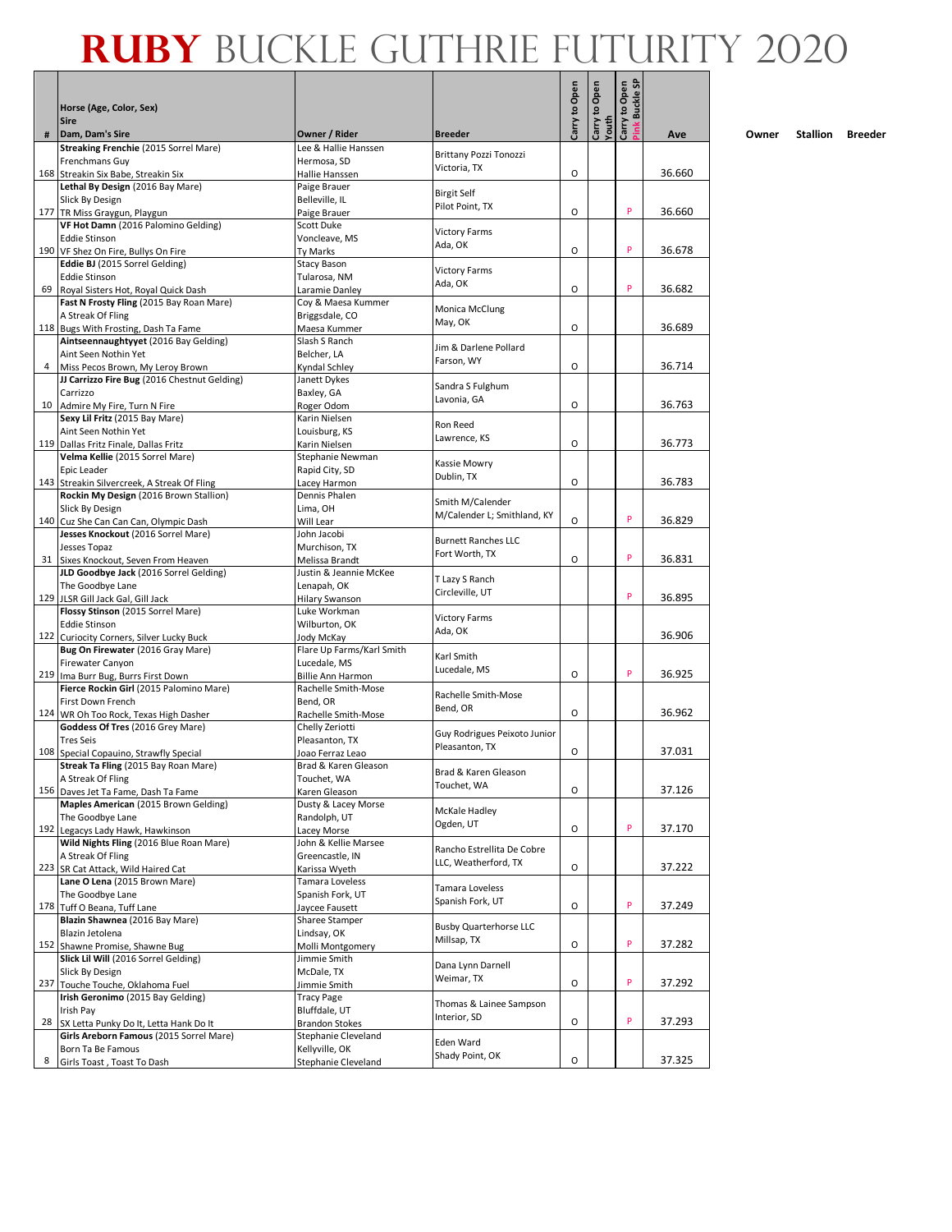|    |                                                                             |                                           |                                     | Carry to Open | Carry to Open | Carry to Open<br>Pink Buckle SF |        |
|----|-----------------------------------------------------------------------------|-------------------------------------------|-------------------------------------|---------------|---------------|---------------------------------|--------|
|    | Horse (Age, Color, Sex)<br><b>Sire</b>                                      |                                           |                                     |               |               |                                 |        |
| #  | Dam, Dam's Sire                                                             | Owner / Rider                             | <b>Breeder</b>                      |               | Youth         |                                 | Ave    |
|    | Streaking Frenchie (2015 Sorrel Mare)                                       | Lee & Hallie Hanssen                      | Brittany Pozzi Tonozzi              |               |               |                                 |        |
|    | Frenchmans Guy                                                              | Hermosa, SD                               | Victoria, TX                        |               |               |                                 |        |
|    | 168 Streakin Six Babe, Streakin Six<br>Lethal By Design (2016 Bay Mare)     | Hallie Hanssen<br>Paige Brauer            |                                     | O             |               |                                 | 36.660 |
|    | Slick By Design                                                             | Belleville, IL                            | <b>Birgit Self</b>                  |               |               |                                 |        |
|    | 177 TR Miss Graygun, Playgun                                                | Paige Brauer                              | Pilot Point, TX                     | O             |               | P                               | 36.660 |
|    | VF Hot Damn (2016 Palomino Gelding)                                         | Scott Duke                                | <b>Victory Farms</b>                |               |               |                                 |        |
|    | <b>Eddie Stinson</b><br>190 VF Shez On Fire, Bullys On Fire                 | Voncleave, MS<br>Ty Marks                 | Ada, OK                             | O             |               | P                               | 36.678 |
|    | Eddie BJ (2015 Sorrel Gelding)                                              | Stacy Bason                               |                                     |               |               |                                 |        |
|    | <b>Eddie Stinson</b>                                                        | Tularosa, NM                              | <b>Victory Farms</b><br>Ada, OK     |               |               |                                 |        |
| 69 | Royal Sisters Hot, Royal Quick Dash                                         | Laramie Danley                            |                                     | O             |               | P                               | 36.682 |
|    | Fast N Frosty Fling (2015 Bay Roan Mare)                                    | Coy & Maesa Kummer                        | Monica McClung                      |               |               |                                 |        |
|    | A Streak Of Fling<br>118 Bugs With Frosting, Dash Ta Fame                   | Briggsdale, CO<br>Maesa Kummer            | May, OK                             | O             |               |                                 | 36.689 |
|    | Aintseennaughtyyet (2016 Bay Gelding)                                       | Slash S Ranch                             |                                     |               |               |                                 |        |
|    | Aint Seen Nothin Yet                                                        | Belcher, LA                               | Jim & Darlene Pollard<br>Farson, WY |               |               |                                 |        |
| 4  | Miss Pecos Brown, My Leroy Brown                                            | Kyndal Schley                             |                                     | O             |               |                                 | 36.714 |
|    | JJ Carrizzo Fire Bug (2016 Chestnut Gelding)<br>Carrizzo                    | Janett Dykes<br>Baxley, GA                | Sandra S Fulghum                    |               |               |                                 |        |
|    | 10 Admire My Fire, Turn N Fire                                              | Roger Odom                                | Lavonia, GA                         | O             |               |                                 | 36.763 |
|    | Sexy Lil Fritz (2015 Bay Mare)                                              | Karin Nielsen                             | Ron Reed                            |               |               |                                 |        |
|    | Aint Seen Nothin Yet                                                        | Louisburg, KS                             | Lawrence, KS                        |               |               |                                 |        |
|    | 119 Dallas Fritz Finale, Dallas Fritz<br>Velma Kellie (2015 Sorrel Mare)    | Karin Nielsen<br>Stephanie Newman         |                                     | O             |               |                                 | 36.773 |
|    | Epic Leader                                                                 | Rapid City, SD                            | Kassie Mowry                        |               |               |                                 |        |
|    | 143 Streakin Silvercreek, A Streak Of Fling                                 | Lacey Harmon                              | Dublin, TX                          | O             |               |                                 | 36.783 |
|    | Rockin My Design (2016 Brown Stallion)                                      | Dennis Phalen                             | Smith M/Calender                    |               |               |                                 |        |
|    | Slick By Design                                                             | Lima, OH<br>Will Lear                     | M/Calender L; Smithland, KY         | O             |               | P                               | 36.829 |
|    | 140 Cuz She Can Can Can, Olympic Dash<br>Jesses Knockout (2016 Sorrel Mare) | John Jacobi                               |                                     |               |               |                                 |        |
|    | Jesses Topaz                                                                | Murchison, TX                             | <b>Burnett Ranches LLC</b>          |               |               |                                 |        |
|    | 31 Sixes Knockout, Seven From Heaven                                        | Melissa Brandt                            | Fort Worth, TX                      | O             |               | P                               | 36.831 |
|    | JLD Goodbye Jack (2016 Sorrel Gelding)                                      | Justin & Jeannie McKee                    | T Lazy S Ranch                      |               |               |                                 |        |
|    | The Goodbye Lane<br>129 JLSR Gill Jack Gal, Gill Jack                       | Lenapah, OK<br><b>Hilary Swanson</b>      | Circleville, UT                     |               |               | P                               | 36.895 |
|    | Flossy Stinson (2015 Sorrel Mare)                                           | Luke Workman                              |                                     |               |               |                                 |        |
|    | <b>Eddie Stinson</b>                                                        | Wilburton, OK                             | <b>Victory Farms</b><br>Ada, OK     |               |               |                                 |        |
|    | 122 Curiocity Corners, Silver Lucky Buck                                    | Jody McKay                                |                                     |               |               |                                 | 36.906 |
|    | Bug On Firewater (2016 Gray Mare)<br>Firewater Canyon                       | Flare Up Farms/Karl Smith<br>Lucedale, MS | Karl Smith                          |               |               |                                 |        |
|    | 219 Ima Burr Bug, Burrs First Down                                          | <b>Billie Ann Harmon</b>                  | Lucedale, MS                        | O             |               | P                               | 36.925 |
|    | Fierce Rockin Girl (2015 Palomino Mare)                                     | Rachelle Smith-Mose                       | Rachelle Smith-Mose                 |               |               |                                 |        |
|    | First Down French                                                           | Bend, OR                                  | Bend, OR                            | O             |               |                                 |        |
|    | 124 WR Oh Too Rock, Texas High Dasher<br>Goddess Of Tres (2016 Grey Mare)   | Rachelle Smith-Mose<br>Chelly Zeriotti    |                                     |               |               |                                 | 36.962 |
|    | <b>Tres Seis</b>                                                            | Pleasanton, TX                            | Guy Rodrigues Peixoto Junior        |               |               |                                 |        |
|    | 108 Special Copauino, Strawfly Special                                      | Joao Ferraz Leao                          | Pleasanton, TX                      | O             |               |                                 | 37.031 |
|    | Streak Ta Fling (2015 Bay Roan Mare)                                        | Brad & Karen Gleason                      | Brad & Karen Gleason                |               |               |                                 |        |
|    | A Streak Of Fling<br>156 Daves Jet Ta Fame, Dash Ta Fame                    | Touchet, WA<br>Karen Gleason              | Touchet, WA                         | O             |               |                                 | 37.126 |
|    | Maples American (2015 Brown Gelding)                                        | Dusty & Lacey Morse                       |                                     |               |               |                                 |        |
|    | The Goodbye Lane                                                            | Randolph, UT                              | McKale Hadley<br>Ogden, UT          |               |               |                                 |        |
|    | 192 Legacys Lady Hawk, Hawkinson                                            | Lacey Morse                               |                                     | O             |               | P                               | 37.170 |
|    | Wild Nights Fling (2016 Blue Roan Mare)<br>A Streak Of Fling                | John & Kellie Marsee<br>Greencastle, IN   | Rancho Estrellita De Cobre          |               |               |                                 |        |
|    | 223 SR Cat Attack, Wild Haired Cat                                          | Karissa Wyeth                             | LLC, Weatherford, TX                | O             |               |                                 | 37.222 |
|    | Lane O Lena (2015 Brown Mare)                                               | Tamara Loveless                           | Tamara Loveless                     |               |               |                                 |        |
|    | The Goodbye Lane                                                            | Spanish Fork, UT                          | Spanish Fork, UT                    |               |               | P                               |        |
|    | 178 Tuff O Beana, Tuff Lane<br>Blazin Shawnea (2016 Bay Mare)               | Jaycee Fausett                            |                                     | O             |               |                                 | 37.249 |
|    | Blazin Jetolena                                                             | Sharee Stamper<br>Lindsay, OK             | <b>Busby Quarterhorse LLC</b>       |               |               |                                 |        |
|    | 152 Shawne Promise, Shawne Bug                                              | Molli Montgomery                          | Millsap, TX                         | O             |               | P                               | 37.282 |
|    | Slick Lil Will (2016 Sorrel Gelding)                                        | Jimmie Smith                              | Dana Lynn Darnell                   |               |               |                                 |        |
|    | Slick By Design                                                             | McDale, TX                                | Weimar, TX                          | O             |               | P                               |        |
|    | 237 Touche Touche, Oklahoma Fuel<br>Irish Geronimo (2015 Bay Gelding)       | Jimmie Smith<br><b>Tracy Page</b>         |                                     |               |               |                                 | 37.292 |
|    | Irish Pay                                                                   | Bluffdale, UT                             | Thomas & Lainee Sampson             |               |               |                                 |        |
|    | 28 SX Letta Punky Do It, Letta Hank Do It                                   | <b>Brandon Stokes</b>                     | Interior, SD                        | O             |               | P                               | 37.293 |
|    | Girls Areborn Famous (2015 Sorrel Mare)                                     | Stephanie Cleveland                       | Eden Ward                           |               |               |                                 |        |
| 8  | Born Ta Be Famous<br>Girls Toast, Toast To Dash                             | Kellyville, OK<br>Stephanie Cleveland     | Shady Point, OK                     | O             |               |                                 | 37.325 |
|    |                                                                             |                                           |                                     |               |               |                                 |        |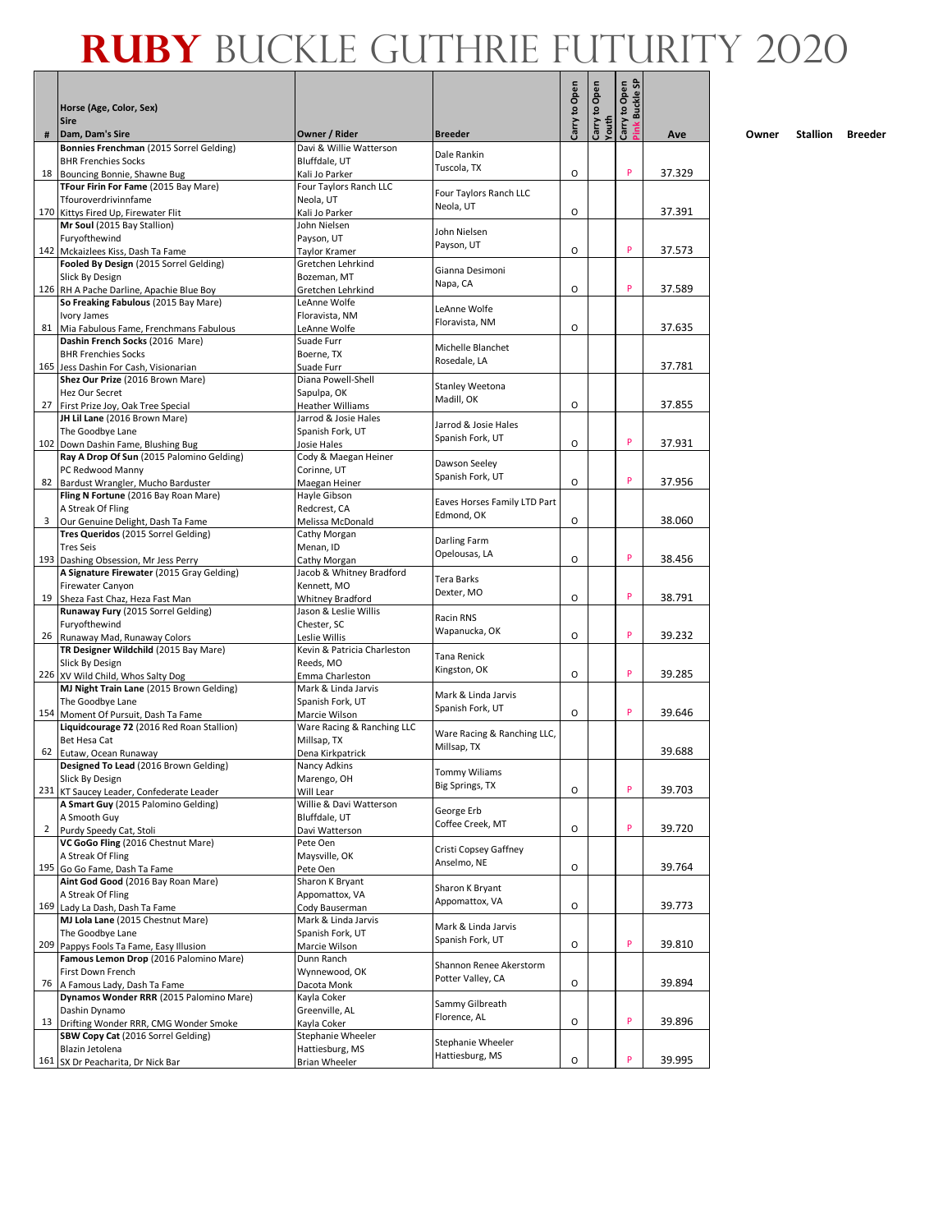|              | Horse (Age, Color, Sex)<br><b>Sire</b>                                        |                                           |                                            | Carry to Open | Carry to Open | Open<br><b>Buckle SF</b><br>Carry to (<br>Pink Bucl |        |
|--------------|-------------------------------------------------------------------------------|-------------------------------------------|--------------------------------------------|---------------|---------------|-----------------------------------------------------|--------|
| #            | Dam, Dam's Sire                                                               | Owner / Rider                             | <b>Breeder</b>                             |               | Youth         |                                                     | Ave    |
|              | Bonnies Frenchman (2015 Sorrel Gelding)                                       | Davi & Willie Watterson                   | Dale Rankin                                |               |               |                                                     |        |
|              | <b>BHR Frenchies Socks</b>                                                    | Bluffdale, UT                             | Tuscola, TX                                |               |               |                                                     |        |
| 18           | Bouncing Bonnie, Shawne Bug                                                   | Kali Jo Parker<br>Four Taylors Ranch LLC  |                                            | O             |               | P                                                   | 37.329 |
|              | TFour Firin For Fame (2015 Bay Mare)<br>Tfouroverdrivinnfame                  | Neola, UT                                 | Four Taylors Ranch LLC                     |               |               |                                                     |        |
|              | 170 Kittys Fired Up, Firewater Flit                                           | Kali Jo Parker                            | Neola, UT                                  | O             |               |                                                     | 37.391 |
|              | Mr Soul (2015 Bay Stallion)                                                   | John Nielsen                              | John Nielsen                               |               |               |                                                     |        |
|              | Furyofthewind                                                                 | Payson, UT                                | Payson, UT                                 |               |               |                                                     |        |
|              | 142 Mckaizlees Kiss, Dash Ta Fame<br>Fooled By Design (2015 Sorrel Gelding)   | Taylor Kramer                             |                                            | O             |               | P                                                   | 37.573 |
|              | Slick By Design                                                               | Gretchen Lehrkind<br>Bozeman, MT          | Gianna Desimoni                            |               |               |                                                     |        |
|              | 126 RH A Pache Darline, Apachie Blue Boy                                      | Gretchen Lehrkind                         | Napa, CA                                   | O             |               | P                                                   | 37.589 |
|              | So Freaking Fabulous (2015 Bay Mare)                                          | LeAnne Wolfe                              | LeAnne Wolfe                               |               |               |                                                     |        |
|              | Ivory James                                                                   | Floravista, NM                            | Floravista, NM                             |               |               |                                                     |        |
|              | 81 Mia Fabulous Fame, Frenchmans Fabulous                                     | LeAnne Wolfe                              |                                            | O             |               |                                                     | 37.635 |
|              | Dashin French Socks (2016 Mare)<br><b>BHR Frenchies Socks</b>                 | Suade Furr<br>Boerne, TX                  | Michelle Blanchet                          |               |               |                                                     |        |
|              | 165 Jess Dashin For Cash, Visionarian                                         | Suade Furr                                | Rosedale, LA                               |               |               |                                                     | 37.781 |
|              | Shez Our Prize (2016 Brown Mare)                                              | Diana Powell-Shell                        |                                            |               |               |                                                     |        |
|              | Hez Our Secret                                                                | Sapulpa, OK                               | Stanley Weetona<br>Madill, OK              |               |               |                                                     |        |
| 27           | First Prize Joy, Oak Tree Special                                             | <b>Heather Williams</b>                   |                                            | O             |               |                                                     | 37.855 |
|              | JH Lil Lane (2016 Brown Mare)                                                 | Jarrod & Josie Hales                      | Jarrod & Josie Hales                       |               |               |                                                     |        |
|              | The Goodbye Lane<br>102 Down Dashin Fame, Blushing Bug                        | Spanish Fork, UT<br>Josie Hales           | Spanish Fork, UT                           | O             |               | P                                                   | 37.931 |
|              | Ray A Drop Of Sun (2015 Palomino Gelding)                                     | Cody & Maegan Heiner                      |                                            |               |               |                                                     |        |
|              | PC Redwood Manny                                                              | Corinne, UT                               | Dawson Seeley                              |               |               |                                                     |        |
|              | 82 Bardust Wrangler, Mucho Barduster                                          | Maegan Heiner                             | Spanish Fork, UT                           | O             |               | P                                                   | 37.956 |
|              | Fling N Fortune (2016 Bay Roan Mare)                                          | Hayle Gibson                              | Eaves Horses Family LTD Part               |               |               |                                                     |        |
| 3            | A Streak Of Fling                                                             | Redcrest, CA                              | Edmond, OK                                 | O             |               |                                                     | 38.060 |
|              | Our Genuine Delight, Dash Ta Fame<br>Tres Queridos (2015 Sorrel Gelding)      | Melissa McDonald<br>Cathy Morgan          |                                            |               |               |                                                     |        |
|              | <b>Tres Seis</b>                                                              | Menan, ID                                 | Darling Farm                               |               |               |                                                     |        |
|              | 193 Dashing Obsession, Mr Jess Perry                                          | Cathy Morgan                              | Opelousas, LA                              | O             |               | P                                                   | 38.456 |
|              | A Signature Firewater (2015 Gray Gelding)                                     | Jacob & Whitney Bradford                  | Tera Barks                                 |               |               |                                                     |        |
|              | Firewater Canyon                                                              | Kennett, MO                               | Dexter, MO                                 |               |               | P                                                   |        |
| 19           | Sheza Fast Chaz, Heza Fast Man<br>Runaway Fury (2015 Sorrel Gelding)          | Whitney Bradford<br>Jason & Leslie Willis |                                            | O             |               |                                                     | 38.791 |
|              | Furyofthewind                                                                 | Chester, SC                               | Racin RNS                                  |               |               |                                                     |        |
|              | 26 Runaway Mad, Runaway Colors                                                | Leslie Willis                             | Wapanucka, OK                              | O             |               | P                                                   | 39.232 |
|              | TR Designer Wildchild (2015 Bay Mare)                                         | Kevin & Patricia Charleston               | Tana Renick                                |               |               |                                                     |        |
|              | Slick By Design                                                               | Reeds, MO                                 | Kingston, OK                               |               |               | P                                                   |        |
|              | 226 XV Wild Child, Whos Salty Dog<br>MJ Night Train Lane (2015 Brown Gelding) | Emma Charleston<br>Mark & Linda Jarvis    |                                            | O             |               |                                                     | 39.285 |
|              | The Goodbye Lane                                                              | Spanish Fork, UT                          | Mark & Linda Jarvis                        |               |               |                                                     |        |
| 154          | Moment Of Pursuit, Dash Ta Fame                                               | Marcie Wilson                             | Spanish Fork, UT                           | O             |               | P                                                   | 39.646 |
|              | Liquidcourage 72 (2016 Red Roan Stallion)                                     | Ware Racing & Ranching LLC                |                                            |               |               |                                                     |        |
|              | Bet Hesa Cat                                                                  | Millsap, TX                               | Ware Racing & Ranching LLC,<br>Millsap, TX |               |               |                                                     |        |
| 62           | Eutaw, Ocean Runaway                                                          | Dena Kirkpatrick                          |                                            |               |               |                                                     | 39.688 |
|              | Designed To Lead (2016 Brown Gelding)<br>Slick By Design                      | Nancy Adkins<br>Marengo, OH               | <b>Tommy Wiliams</b>                       |               |               |                                                     |        |
|              | 231 KT Saucey Leader, Confederate Leader                                      | Will Lear                                 | Big Springs, TX                            | O             |               | P                                                   | 39.703 |
|              | A Smart Guy (2015 Palomino Gelding)                                           | Willie & Davi Watterson                   |                                            |               |               |                                                     |        |
|              | A Smooth Guy                                                                  | Bluffdale, UT                             | George Erb<br>Coffee Creek, MT             |               |               |                                                     |        |
| $\mathbf{2}$ | Purdy Speedy Cat, Stoli                                                       | Davi Watterson                            |                                            | O             |               | P                                                   | 39.720 |
|              | VC GoGo Fling (2016 Chestnut Mare)<br>A Streak Of Fling                       | Pete Oen<br>Maysville, OK                 | Cristi Copsey Gaffney                      |               |               |                                                     |        |
|              | 195 Go Go Fame, Dash Ta Fame                                                  | Pete Oen                                  | Anselmo, NE                                | O             |               |                                                     | 39.764 |
|              | Aint God Good (2016 Bay Roan Mare)                                            | Sharon K Bryant                           |                                            |               |               |                                                     |        |
|              | A Streak Of Fling                                                             | Appomattox, VA                            | Sharon K Bryant<br>Appomattox, VA          |               |               |                                                     |        |
|              | 169 Lady La Dash, Dash Ta Fame                                                | Cody Bauserman                            |                                            | O             |               |                                                     | 39.773 |
|              | MJ Lola Lane (2015 Chestnut Mare)                                             | Mark & Linda Jarvis                       | Mark & Linda Jarvis                        |               |               |                                                     |        |
| 209          | The Goodbye Lane<br>Pappys Fools Ta Fame, Easy Illusion                       | Spanish Fork, UT<br>Marcie Wilson         | Spanish Fork, UT                           | O             |               | P                                                   | 39.810 |
|              | Famous Lemon Drop (2016 Palomino Mare)                                        | Dunn Ranch                                |                                            |               |               |                                                     |        |
|              | First Down French                                                             | Wynnewood, OK                             | Shannon Renee Akerstorm                    |               |               |                                                     |        |
| 76           | A Famous Lady, Dash Ta Fame                                                   | Dacota Monk                               | Potter Valley, CA                          | O             |               |                                                     | 39.894 |
|              | Dynamos Wonder RRR (2015 Palomino Mare)                                       | Kayla Coker                               | Sammy Gilbreath                            |               |               |                                                     |        |
| 13           | Dashin Dynamo                                                                 | Greenville, AL                            | Florence, AL                               | O             |               | P                                                   | 39.896 |
|              | Drifting Wonder RRR, CMG Wonder Smoke<br>SBW Copy Cat (2016 Sorrel Gelding)   | Kayla Coker<br>Stephanie Wheeler          |                                            |               |               |                                                     |        |
|              | Blazin Jetolena                                                               | Hattiesburg, MS                           | Stephanie Wheeler                          |               |               |                                                     |        |
|              | 161 SX Dr Peacharita, Dr Nick Bar                                             | <b>Brian Wheeler</b>                      | Hattiesburg, MS                            | O             |               | P                                                   | 39.995 |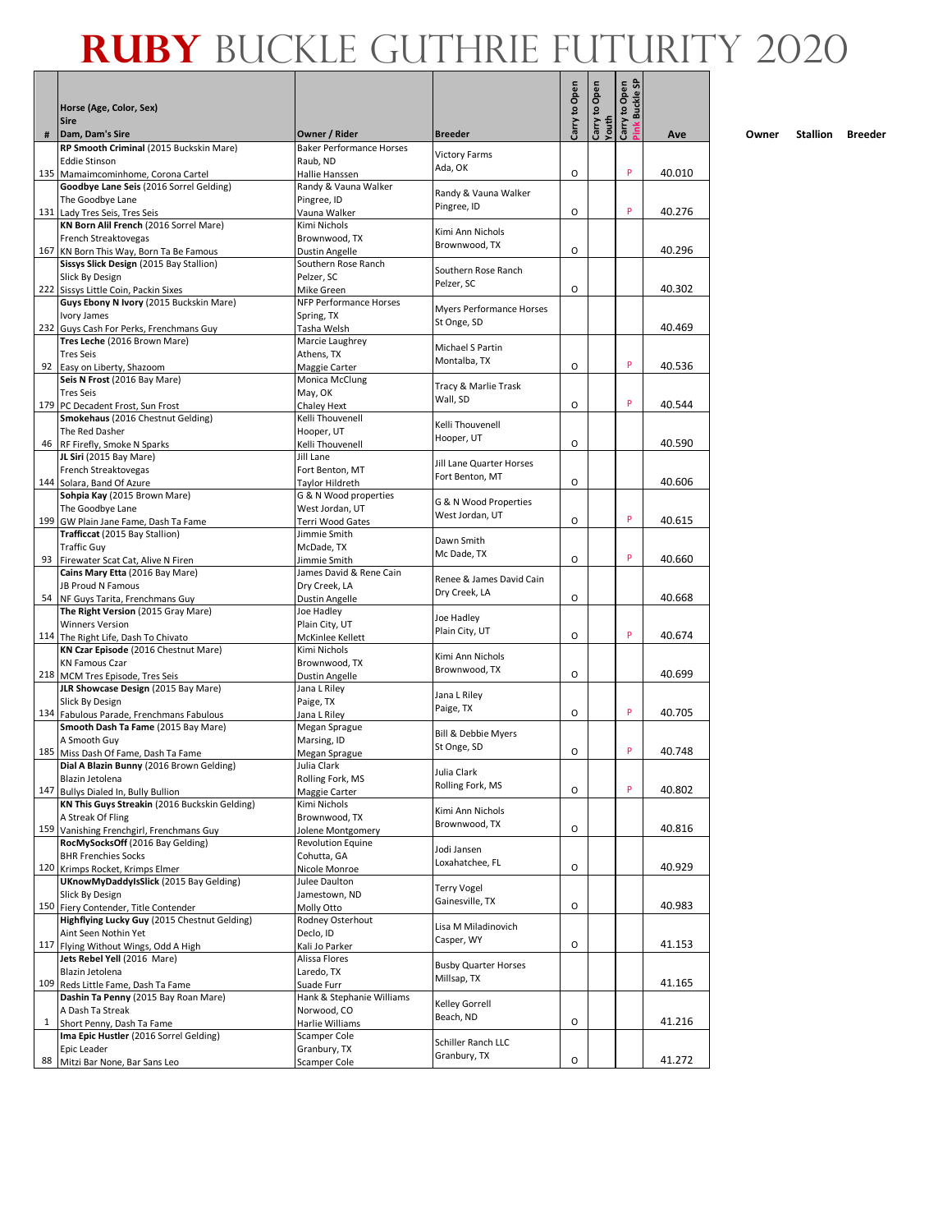|              | Horse (Age, Color, Sex)                                                              |                                          |                                 | Carry to Open | Carry to Open | <b>Buckle SP</b><br>Carry to Open |        |
|--------------|--------------------------------------------------------------------------------------|------------------------------------------|---------------------------------|---------------|---------------|-----------------------------------|--------|
|              | <b>Sire</b>                                                                          |                                          |                                 |               | Youth         |                                   |        |
| #            | Dam, Dam's Sire                                                                      | Owner / Rider                            | <b>Breeder</b>                  |               |               |                                   | Ave    |
|              | RP Smooth Criminal (2015 Buckskin Mare)                                              | <b>Baker Performance Horses</b>          | <b>Victory Farms</b>            |               |               |                                   |        |
|              | <b>Eddie Stinson</b><br>135 Mamaimcominhome, Corona Cartel                           | Raub. ND<br>Hallie Hanssen               | Ada, OK                         | O             |               | P                                 | 40.010 |
|              | Goodbye Lane Seis (2016 Sorrel Gelding)                                              | Randy & Vauna Walker                     |                                 |               |               |                                   |        |
|              | The Goodbye Lane                                                                     | Pingree, ID                              | Randy & Vauna Walker            |               |               |                                   |        |
|              | 131 Lady Tres Seis, Tres Seis                                                        | Vauna Walker                             | Pingree, ID                     | 0             |               | P                                 | 40.276 |
|              | KN Born Alil French (2016 Sorrel Mare)                                               | Kimi Nichols                             | Kimi Ann Nichols                |               |               |                                   |        |
|              | French Streaktovegas<br>167 KN Born This Way, Born Ta Be Famous                      | Brownwood. TX<br>Dustin Angelle          | Brownwood, TX                   | O             |               |                                   | 40.296 |
|              | Sissys Slick Design (2015 Bay Stallion)                                              | Southern Rose Ranch                      |                                 |               |               |                                   |        |
|              | Slick By Design                                                                      | Pelzer, SC                               | Southern Rose Ranch             |               |               |                                   |        |
|              | 222 Sissys Little Coin, Packin Sixes                                                 | Mike Green                               | Pelzer, SC                      | O             |               |                                   | 40.302 |
|              | Guys Ebony N Ivory (2015 Buckskin Mare)                                              | <b>NFP Performance Horses</b>            | <b>Myers Performance Horses</b> |               |               |                                   |        |
|              | Ivory James<br>232 Guys Cash For Perks, Frenchmans Guy                               | Spring, TX<br>Tasha Welsh                | St Onge, SD                     |               |               |                                   | 40.469 |
|              | Tres Leche (2016 Brown Mare)                                                         | Marcie Laughrey                          |                                 |               |               |                                   |        |
|              | <b>Tres Seis</b>                                                                     | Athens, TX                               | Michael S Partin                |               |               |                                   |        |
|              | 92 Easy on Liberty, Shazoom                                                          | Maggie Carter                            | Montalba, TX                    | O             |               | P                                 | 40.536 |
|              | Seis N Frost (2016 Bay Mare)                                                         | Monica McClung                           | Tracy & Marlie Trask            |               |               |                                   |        |
|              | <b>Tres Seis</b>                                                                     | May, OK                                  | Wall, SD                        | O             |               | P                                 | 40.544 |
|              | 179 PC Decadent Frost, Sun Frost<br>Smokehaus (2016 Chestnut Gelding)                | Chaley Hext<br>Kelli Thouvenell          |                                 |               |               |                                   |        |
|              | The Red Dasher                                                                       | Hooper, UT                               | Kelli Thouvenell                |               |               |                                   |        |
|              | 46 RF Firefly, Smoke N Sparks                                                        | Kelli Thouvenell                         | Hooper, UT                      | O             |               |                                   | 40.590 |
|              | JL Siri (2015 Bay Mare)                                                              | Jill Lane                                | Jill Lane Quarter Horses        |               |               |                                   |        |
|              | French Streaktovegas                                                                 | Fort Benton, MT                          | Fort Benton, MT                 |               |               |                                   |        |
|              | 144 Solara, Band Of Azure<br>Sohpia Kay (2015 Brown Mare)                            | Taylor Hildreth<br>G & N Wood properties |                                 | O             |               |                                   | 40.606 |
|              | The Goodbye Lane                                                                     | West Jordan, UT                          | G & N Wood Properties           |               |               |                                   |        |
|              | 199 GW Plain Jane Fame, Dash Ta Fame                                                 | <b>Terri Wood Gates</b>                  | West Jordan. UT                 | O             |               | P                                 | 40.615 |
|              | Trafficcat (2015 Bay Stallion)                                                       | Jimmie Smith                             | Dawn Smith                      |               |               |                                   |        |
|              | <b>Traffic Guy</b>                                                                   | McDade, TX                               | Mc Dade, TX                     |               |               | P                                 |        |
|              | 93 Firewater Scat Cat, Alive N Firen<br>Cains Mary Etta (2016 Bay Mare)              | Jimmie Smith<br>James David & Rene Cain  |                                 | O             |               |                                   | 40.660 |
|              | JB Proud N Famous                                                                    | Dry Creek, LA                            | Renee & James David Cain        |               |               |                                   |        |
| 54           | NF Guys Tarita, Frenchmans Guy                                                       | Dustin Angelle                           | Dry Creek, LA                   | O             |               |                                   | 40.668 |
|              | The Right Version (2015 Gray Mare)                                                   | Joe Hadley                               | Joe Hadley                      |               |               |                                   |        |
|              | <b>Winners Version</b>                                                               | Plain City, UT                           | Plain City, UT                  |               |               | P                                 |        |
|              | 114 The Right Life, Dash To Chivato<br>KN Czar Episode (2016 Chestnut Mare)          | McKinlee Kellett<br>Kimi Nichols         |                                 | 0             |               |                                   | 40.674 |
|              | <b>KN Famous Czar</b>                                                                | Brownwood, TX                            | Kimi Ann Nichols                |               |               |                                   |        |
|              | 218 MCM Tres Episode, Tres Seis                                                      | Dustin Angelle                           | Brownwood, TX                   | O             |               |                                   | 40.699 |
|              | JLR Showcase Design (2015 Bay Mare)                                                  | Jana L Riley                             | Jana L Riley                    |               |               |                                   |        |
|              | Slick By Design                                                                      | Paige, TX                                | Paige, TX                       | O             |               | P                                 | 40.705 |
|              | 134 Fabulous Parade, Frenchmans Fabulous<br>Smooth Dash Ta Fame (2015 Bay Mare)      | Jana L Riley<br>Megan Sprague            |                                 |               |               |                                   |        |
|              | A Smooth Guy                                                                         | Marsing, ID                              | Bill & Debbie Myers             |               |               |                                   |        |
|              | 185 Miss Dash Of Fame, Dash Ta Fame                                                  | Megan Sprague                            | St Onge, SD                     | O             |               | P                                 | 40.748 |
|              | Dial A Blazin Bunny (2016 Brown Gelding)                                             | Julia Clark                              | Julia Clark                     |               |               |                                   |        |
|              | Blazin Jetolena                                                                      | Rolling Fork, MS                         | Rolling Fork, MS                | O             |               | P                                 | 40.802 |
|              | 147 Bullys Dialed In, Bully Bullion<br>KN This Guys Streakin (2016 Buckskin Gelding) | Maggie Carter<br>Kimi Nichols            |                                 |               |               |                                   |        |
|              | A Streak Of Fling                                                                    | Brownwood, TX                            | Kimi Ann Nichols                |               |               |                                   |        |
|              | 159 Vanishing Frenchgirl, Frenchmans Guy                                             | Jolene Montgomery                        | Brownwood, TX                   | O             |               |                                   | 40.816 |
|              | RocMySocksOff (2016 Bay Gelding)                                                     | <b>Revolution Equine</b>                 | Jodi Jansen                     |               |               |                                   |        |
|              | <b>BHR Frenchies Socks</b>                                                           | Cohutta, GA                              | Loxahatchee, FL                 | O             |               |                                   | 40.929 |
|              | 120 Krimps Rocket, Krimps Elmer<br>UKnowMyDaddyIsSlick (2015 Bay Gelding)            | Nicole Monroe<br>Julee Daulton           |                                 |               |               |                                   |        |
|              | Slick By Design                                                                      | Jamestown, ND                            | <b>Terry Vogel</b>              |               |               |                                   |        |
|              | 150 Fiery Contender, Title Contender                                                 | Molly Otto                               | Gainesville, TX                 | O             |               |                                   | 40.983 |
|              | Highflying Lucky Guy (2015 Chestnut Gelding)                                         | Rodney Osterhout                         | Lisa M Miladinovich             |               |               |                                   |        |
|              | Aint Seen Nothin Yet                                                                 | Declo, ID                                | Casper, WY                      |               |               |                                   |        |
|              | 117 Flying Without Wings, Odd A High<br>Jets Rebel Yell (2016 Mare)                  | Kali Jo Parker<br>Alissa Flores          |                                 | O             |               |                                   | 41.153 |
|              | Blazin Jetolena                                                                      | Laredo, TX                               | <b>Busby Quarter Horses</b>     |               |               |                                   |        |
|              | 109 Reds Little Fame, Dash Ta Fame                                                   | Suade Furr                               | Millsap, TX                     |               |               |                                   | 41.165 |
|              | Dashin Ta Penny (2015 Bay Roan Mare)                                                 | Hank & Stephanie Williams                | Kelley Gorrell                  |               |               |                                   |        |
|              | A Dash Ta Streak                                                                     | Norwood, CO                              | Beach, ND                       |               |               |                                   |        |
| $\mathbf{1}$ | Short Penny, Dash Ta Fame<br>Ima Epic Hustler (2016 Sorrel Gelding)                  | Harlie Williams<br>Scamper Cole          |                                 | O             |               |                                   | 41.216 |
|              | Epic Leader                                                                          | Granbury, TX                             | Schiller Ranch LLC              |               |               |                                   |        |
| 88           | Mitzi Bar None, Bar Sans Leo                                                         | Scamper Cole                             | Granbury, TX                    | О             |               |                                   | 41.272 |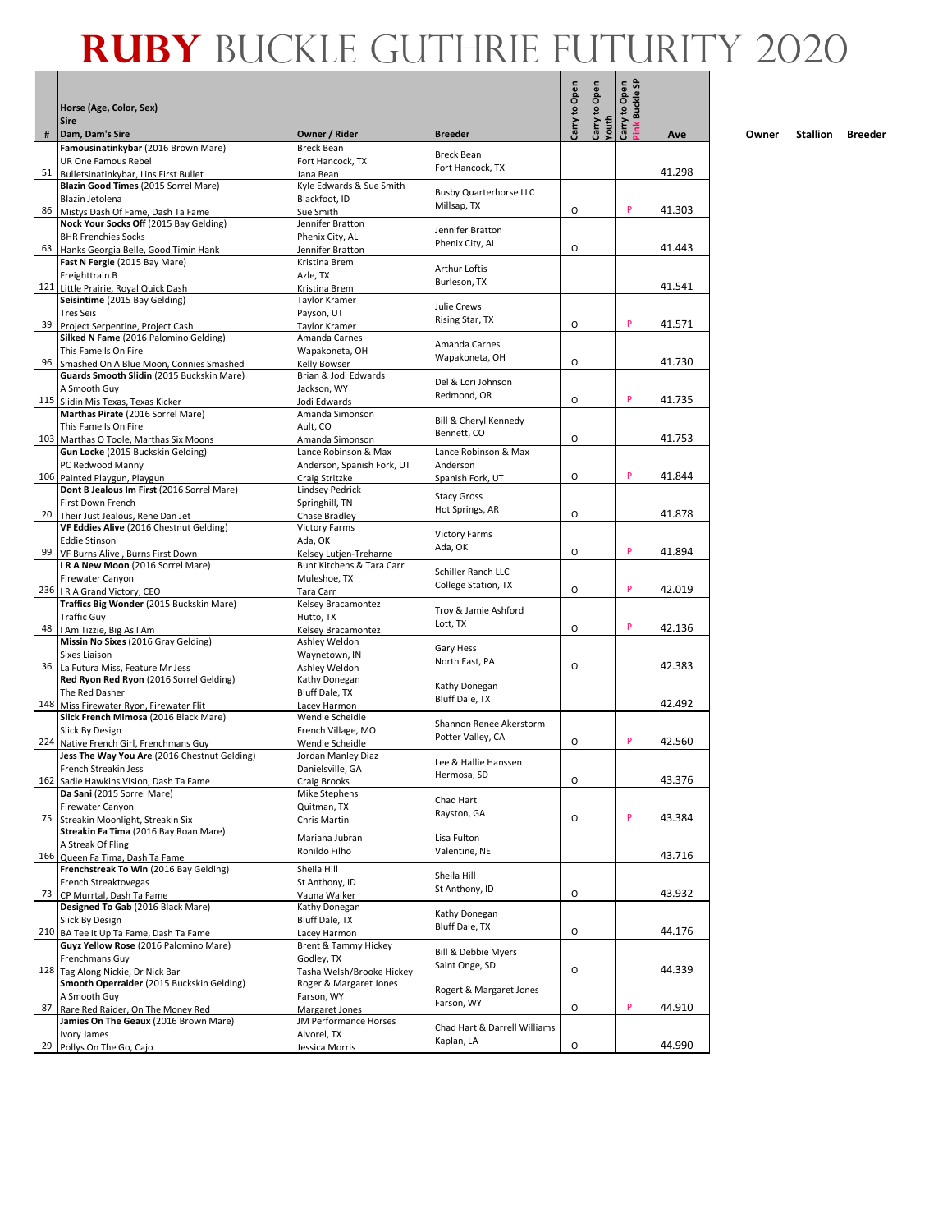|     | Horse (Age, Color, Sex)<br><b>Sire</b>                                     |                                                     |                                              | Carry to Open | Carry to Open | Open<br><b>Buckle SF</b><br>Carry to (<br>Pink Bucl |        |
|-----|----------------------------------------------------------------------------|-----------------------------------------------------|----------------------------------------------|---------------|---------------|-----------------------------------------------------|--------|
| #   | Dam, Dam's Sire                                                            | Owner / Rider                                       | <b>Breeder</b>                               |               | Youth         |                                                     | Ave    |
|     | Famousinatinkybar (2016 Brown Mare)                                        | <b>Breck Bean</b>                                   |                                              |               |               |                                                     |        |
|     | UR One Famous Rebel                                                        | Fort Hancock. TX                                    | <b>Breck Bean</b><br>Fort Hancock, TX        |               |               |                                                     |        |
|     | 51 Bulletsinatinkybar, Lins First Bullet                                   | Jana Bean                                           |                                              |               |               |                                                     | 41.298 |
|     | Blazin Good Times (2015 Sorrel Mare)<br>Blazin Jetolena                    | Kyle Edwards & Sue Smith<br>Blackfoot, ID           | <b>Busby Quarterhorse LLC</b>                |               |               |                                                     |        |
| 86  | Mistys Dash Of Fame, Dash Ta Fame                                          | Sue Smith                                           | Millsap, TX                                  | O             |               | P                                                   | 41.303 |
|     | Nock Your Socks Off (2015 Bay Gelding)                                     | Jennifer Bratton                                    | Jennifer Bratton                             |               |               |                                                     |        |
|     | <b>BHR Frenchies Socks</b>                                                 | Phenix City, AL                                     | Phenix City, AL                              |               |               |                                                     |        |
| 63  | Hanks Georgia Belle, Good Timin Hank<br>Fast N Fergie (2015 Bay Mare)      | Jennifer Bratton<br>Kristina Brem                   |                                              | O             |               |                                                     | 41.443 |
|     | Freighttrain B                                                             | Azle, TX                                            | Arthur Loftis                                |               |               |                                                     |        |
|     | 121 Little Prairie, Royal Quick Dash                                       | Kristina Brem                                       | Burleson, TX                                 |               |               |                                                     | 41.541 |
|     | Seisintime (2015 Bay Gelding)                                              | <b>Taylor Kramer</b>                                | Julie Crews                                  |               |               |                                                     |        |
|     | <b>Tres Seis</b>                                                           | Payson, UT                                          | Rising Star, TX                              | O             |               | P                                                   | 41.571 |
| 39  | Project Serpentine, Project Cash<br>Silked N Fame (2016 Palomino Gelding)  | Taylor Kramer<br>Amanda Carnes                      |                                              |               |               |                                                     |        |
|     | This Fame Is On Fire                                                       | Wapakoneta, OH                                      | Amanda Carnes                                |               |               |                                                     |        |
| 96  | Smashed On A Blue Moon, Connies Smashed                                    | Kelly Bowser                                        | Wapakoneta, OH                               | O             |               |                                                     | 41.730 |
|     | Guards Smooth Slidin (2015 Buckskin Mare)                                  | Brian & Jodi Edwards                                | Del & Lori Johnson                           |               |               |                                                     |        |
|     | A Smooth Guy                                                               | Jackson, WY                                         | Redmond, OR                                  | O             |               | P                                                   | 41.735 |
| 115 | Slidin Mis Texas, Texas Kicker<br>Marthas Pirate (2016 Sorrel Mare)        | Jodi Edwards<br>Amanda Simonson                     |                                              |               |               |                                                     |        |
|     | This Fame Is On Fire                                                       | Ault, CO                                            | Bill & Cheryl Kennedy                        |               |               |                                                     |        |
|     | 103 Marthas O Toole, Marthas Six Moons                                     | Amanda Simonson                                     | Bennett. CO                                  | O             |               |                                                     | 41.753 |
|     | Gun Locke (2015 Buckskin Gelding)                                          | Lance Robinson & Max                                | Lance Robinson & Max                         |               |               |                                                     |        |
|     | PC Redwood Manny                                                           | Anderson, Spanish Fork, UT                          | Anderson                                     | O             |               | P                                                   | 41.844 |
|     | 106 Painted Playgun, Playgun<br>Dont B Jealous Im First (2016 Sorrel Mare) | Craig Stritzke<br><b>Lindsey Pedrick</b>            | Spanish Fork, UT                             |               |               |                                                     |        |
|     | First Down French                                                          | Springhill, TN                                      | <b>Stacy Gross</b>                           |               |               |                                                     |        |
|     | 20 Their Just Jealous, Rene Dan Jet                                        | Chase Bradley                                       | Hot Springs, AR                              | O             |               |                                                     | 41.878 |
|     | VF Eddies Alive (2016 Chestnut Gelding)                                    | <b>Victory Farms</b>                                | <b>Victory Farms</b>                         |               |               |                                                     |        |
| 99  | <b>Eddie Stinson</b><br>VF Burns Alive, Burns First Down                   | Ada, OK                                             | Ada, OK                                      | O             |               | P                                                   | 41.894 |
|     | IRA New Moon (2016 Sorrel Mare)                                            | Kelsey Lutjen-Treharne<br>Bunt Kitchens & Tara Carr |                                              |               |               |                                                     |        |
|     | Firewater Canyon                                                           | Muleshoe, TX                                        | Schiller Ranch LLC                           |               |               |                                                     |        |
|     | 236   I R A Grand Victory, CEO                                             | Tara Carr                                           | College Station, TX                          | O             |               | P                                                   | 42.019 |
|     | Traffics Big Wonder (2015 Buckskin Mare)                                   | Kelsey Bracamontez                                  | Troy & Jamie Ashford                         |               |               |                                                     |        |
| 48  | <b>Traffic Guy</b><br>I Am Tizzie, Big As I Am                             | Hutto, TX<br>Kelsey Bracamontez                     | Lott, TX                                     | O             |               | P                                                   | 42.136 |
|     | Missin No Sixes (2016 Gray Gelding)                                        | Ashley Weldon                                       |                                              |               |               |                                                     |        |
|     | Sixes Liaison                                                              | Waynetown, IN                                       | Gary Hess<br>North East, PA                  |               |               |                                                     |        |
| 36  | La Futura Miss, Feature Mr Jess                                            | Ashley Weldon                                       |                                              | O             |               |                                                     | 42.383 |
|     | Red Ryon Red Ryon (2016 Sorrel Gelding)                                    | Kathy Donegan                                       | Kathy Donegan                                |               |               |                                                     |        |
| 148 | The Red Dasher<br>Miss Firewater Ryon, Firewater Flit                      | Bluff Dale, TX<br>Lacey Harmon                      | Bluff Dale, TX                               |               |               |                                                     | 42.492 |
|     | Slick French Mimosa (2016 Black Mare)                                      | Wendie Scheidle                                     |                                              |               |               |                                                     |        |
|     | Slick By Design                                                            | French Village, MO                                  | Shannon Renee Akerstorm<br>Potter Valley, CA |               |               |                                                     |        |
| 224 | Native French Girl, Frenchmans Guy                                         | Wendie Scheidle                                     |                                              | O             |               | P                                                   | 42.560 |
|     | Jess The Way You Are (2016 Chestnut Gelding)<br>French Streakin Jess       | Jordan Manley Diaz<br>Danielsville, GA              | Lee & Hallie Hanssen                         |               |               |                                                     |        |
|     | 162 Sadie Hawkins Vision, Dash Ta Fame                                     | <b>Craig Brooks</b>                                 | Hermosa, SD                                  | O             |               |                                                     | 43.376 |
|     | Da Sani (2015 Sorrel Mare)                                                 | Mike Stephens                                       |                                              |               |               |                                                     |        |
|     | Firewater Canyon                                                           | Quitman, TX                                         | Chad Hart<br>Rayston, GA                     |               |               |                                                     |        |
| 75  | Streakin Moonlight, Streakin Six                                           | Chris Martin                                        |                                              | O             |               | P                                                   | 43.384 |
|     | Streakin Fa Tima (2016 Bay Roan Mare)<br>A Streak Of Fling                 | Mariana Jubran                                      | Lisa Fulton                                  |               |               |                                                     |        |
|     | 166 Queen Fa Tima, Dash Ta Fame                                            | Ronildo Filho                                       | Valentine, NE                                |               |               |                                                     | 43.716 |
|     | Frenchstreak To Win (2016 Bay Gelding)                                     | Sheila Hill                                         |                                              |               |               |                                                     |        |
|     | French Streaktovegas                                                       | St Anthony, ID                                      | Sheila Hill<br>St Anthony, ID                |               |               |                                                     |        |
| 73  | CP Murrtal, Dash Ta Fame                                                   | Vauna Walker                                        |                                              | 0             |               |                                                     | 43.932 |
|     | Designed To Gab (2016 Black Mare)<br>Slick By Design                       | Kathy Donegan<br>Bluff Dale, TX                     | Kathy Donegan                                |               |               |                                                     |        |
|     | 210 BA Tee It Up Ta Fame, Dash Ta Fame                                     | Lacey Harmon                                        | Bluff Dale, TX                               | O             |               |                                                     | 44.176 |
|     | Guyz Yellow Rose (2016 Palomino Mare)                                      | Brent & Tammy Hickey                                | Bill & Debbie Myers                          |               |               |                                                     |        |
|     | Frenchmans Guy                                                             | Godley, TX                                          | Saint Onge, SD                               |               |               |                                                     |        |
| 128 | Tag Along Nickie, Dr Nick Bar                                              | Tasha Welsh/Brooke Hickey                           |                                              | O             |               |                                                     | 44.339 |
|     | Smooth Operraider (2015 Buckskin Gelding)<br>A Smooth Guy                  | Roger & Margaret Jones<br>Farson, WY                | Rogert & Margaret Jones                      |               |               |                                                     |        |
| 87  | Rare Red Raider, On The Money Red                                          | Margaret Jones                                      | Farson, WY                                   | O             |               | P                                                   | 44.910 |
|     | Jamies On The Geaux (2016 Brown Mare)                                      | JM Performance Horses                               | Chad Hart & Darrell Williams                 |               |               |                                                     |        |
|     | Ivory James                                                                | Alvorel, TX                                         | Kaplan, LA                                   |               |               |                                                     |        |
| 29  | Pollys On The Go, Cajo                                                     | Jessica Morris                                      |                                              | O             |               |                                                     | 44.990 |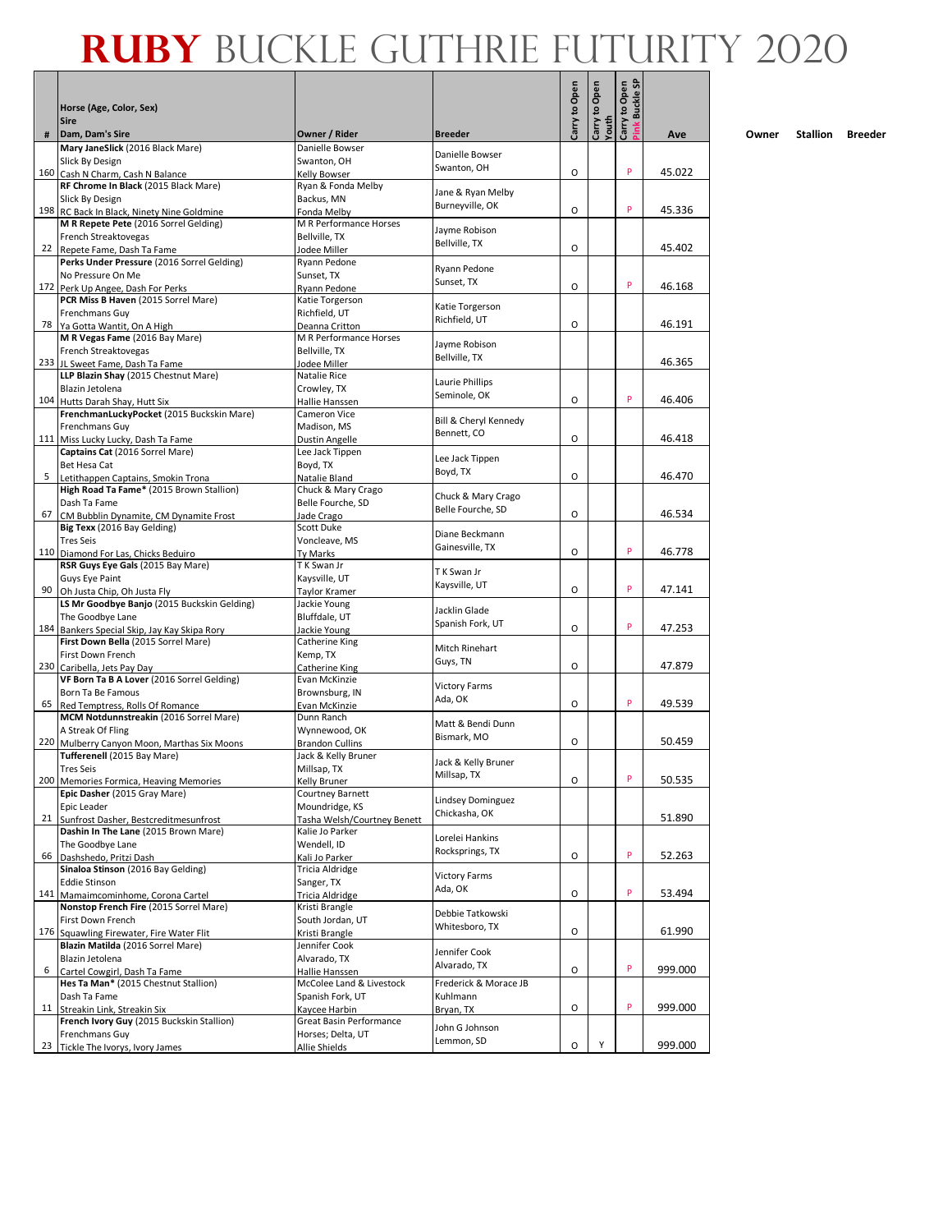|    |                                                                                     |                                                |                                   | Carry to Open | Open           | Open<br><b>Buckle SF</b> |         |
|----|-------------------------------------------------------------------------------------|------------------------------------------------|-----------------------------------|---------------|----------------|--------------------------|---------|
|    | Horse (Age, Color, Sex)                                                             |                                                |                                   |               | $\mathbf{S}$   |                          |         |
| #  | <b>Sire</b><br>Dam, Dam's Sire                                                      | Owner / Rider                                  | <b>Breeder</b>                    |               | Youth<br>Carry | Carry to (<br>Pink Bucl  | Ave     |
|    | Mary JaneSlick (2016 Black Mare)                                                    | Danielle Bowser                                |                                   |               |                |                          |         |
|    | Slick By Design                                                                     | Swanton, OH                                    | Danielle Bowser<br>Swanton, OH    |               |                |                          |         |
|    | 160 Cash N Charm, Cash N Balance<br>RF Chrome In Black (2015 Black Mare)            | Kelly Bowser<br>Ryan & Fonda Melby             |                                   | O             |                | P                        | 45.022  |
|    | Slick By Design                                                                     | Backus, MN                                     | Jane & Ryan Melby                 |               |                |                          |         |
|    | 198 RC Back In Black, Ninety Nine Goldmine                                          | Fonda Melby                                    | Burneyville, OK                   | O             |                | P                        | 45.336  |
|    | M R Repete Pete (2016 Sorrel Gelding)                                               | M R Performance Horses                         | Jayme Robison                     |               |                |                          |         |
|    | French Streaktovegas<br>22 Repete Fame, Dash Ta Fame                                | Bellville. TX<br>Jodee Miller                  | Bellville, TX                     | O             |                |                          | 45.402  |
|    | Perks Under Pressure (2016 Sorrel Gelding)                                          | Ryann Pedone                                   |                                   |               |                |                          |         |
|    | No Pressure On Me                                                                   | Sunset, TX                                     | Ryann Pedone<br>Sunset, TX        |               |                |                          |         |
|    | 172 Perk Up Angee, Dash For Perks<br>PCR Miss B Haven (2015 Sorrel Mare)            | Ryann Pedone                                   |                                   | O             |                | P                        | 46.168  |
|    | Frenchmans Guy                                                                      | Katie Torgerson<br>Richfield, UT               | Katie Torgerson                   |               |                |                          |         |
|    | 78 Ya Gotta Wantit, On A High                                                       | Deanna Critton                                 | Richfield, UT                     | O             |                |                          | 46.191  |
|    | M R Vegas Fame (2016 Bay Mare)                                                      | M R Performance Horses                         | Jayme Robison                     |               |                |                          |         |
|    | French Streaktovegas                                                                | Bellville, TX                                  | Bellville, TX                     |               |                |                          | 46.365  |
|    | 233 JL Sweet Fame, Dash Ta Fame<br>LLP Blazin Shay (2015 Chestnut Mare)             | Jodee Miller<br>Natalie Rice                   |                                   |               |                |                          |         |
|    | Blazin Jetolena                                                                     | Crowley, TX                                    | Laurie Phillips                   |               |                |                          |         |
|    | 104 Hutts Darah Shay, Hutt Six                                                      | Hallie Hanssen                                 | Seminole, OK                      | O             |                | P                        | 46.406  |
|    | FrenchmanLuckyPocket (2015 Buckskin Mare)                                           | Cameron Vice                                   | Bill & Cheryl Kennedy             |               |                |                          |         |
|    | Frenchmans Guy<br>111 Miss Lucky Lucky, Dash Ta Fame                                | Madison, MS<br>Dustin Angelle                  | Bennett, CO                       | O             |                |                          | 46.418  |
|    | Captains Cat (2016 Sorrel Mare)                                                     | Lee Jack Tippen                                |                                   |               |                |                          |         |
|    | Bet Hesa Cat                                                                        | Boyd, TX                                       | Lee Jack Tippen                   |               |                |                          |         |
| 5  | Letithappen Captains, Smokin Trona                                                  | Natalie Bland                                  | Boyd, TX                          | O             |                |                          | 46.470  |
|    | High Road Ta Fame* (2015 Brown Stallion)<br>Dash Ta Fame                            | Chuck & Mary Crago                             | Chuck & Mary Crago                |               |                |                          |         |
| 67 | CM Bubblin Dynamite, CM Dynamite Frost                                              | Belle Fourche, SD<br>Jade Crago                | Belle Fourche, SD                 | O             |                |                          | 46.534  |
|    | Big Texx (2016 Bay Gelding)                                                         | Scott Duke                                     |                                   |               |                |                          |         |
|    | <b>Tres Seis</b>                                                                    | Voncleave, MS                                  | Diane Beckmann<br>Gainesville, TX |               |                |                          |         |
|    | 110 Diamond For Las, Chicks Beduiro                                                 | Ty Marks                                       |                                   | O             |                | P                        | 46.778  |
|    | RSR Guys Eye Gals (2015 Bay Mare)<br>Guys Eye Paint                                 | T K Swan Jr<br>Kaysville, UT                   | T K Swan Jr                       |               |                |                          |         |
| 90 | Oh Justa Chip, Oh Justa Fly                                                         | Taylor Kramer                                  | Kaysville, UT                     | O             |                | P                        | 47.141  |
|    | LS Mr Goodbye Banjo (2015 Buckskin Gelding)                                         | Jackie Young                                   | Jacklin Glade                     |               |                |                          |         |
|    | The Goodbye Lane                                                                    | Bluffdale, UT                                  | Spanish Fork, UT                  |               |                | P                        |         |
|    | 184 Bankers Special Skip, Jay Kay Skipa Rory<br>First Down Bella (2015 Sorrel Mare) | Jackie Young<br>Catherine King                 |                                   | O             |                |                          | 47.253  |
|    | First Down French                                                                   | Kemp, TX                                       | Mitch Rinehart                    |               |                |                          |         |
|    | 230 Caribella, Jets Pay Day                                                         | Catherine King                                 | Guys, TN                          | O             |                |                          | 47.879  |
|    | VF Born Ta B A Lover (2016 Sorrel Gelding)                                          | Evan McKinzie                                  | <b>Victory Farms</b>              |               |                |                          |         |
| 65 | Born Ta Be Famous<br>Red Temptress, Rolls Of Romance                                | Brownsburg, IN<br>Evan McKinzie                | Ada, OK                           | O             |                | P                        | 49.539  |
|    | MCM Notdunnstreakin (2016 Sorrel Mare)                                              | Dunn Ranch                                     |                                   |               |                |                          |         |
|    | A Streak Of Fling                                                                   | Wynnewood, OK                                  | Matt & Bendi Dunn<br>Bismark, MO  |               |                |                          |         |
|    | 220 Mulberry Canyon Moon, Marthas Six Moons                                         | <b>Brandon Cullins</b>                         |                                   | O             |                |                          | 50.459  |
|    | Tufferenell (2015 Bay Mare)<br><b>Tres Seis</b>                                     | Jack & Kelly Bruner<br>Millsap, TX             | Jack & Kelly Bruner               |               |                |                          |         |
|    | 200 Memories Formica, Heaving Memories                                              | Kelly Bruner                                   | Millsap, TX                       | O             |                |                          | 50.535  |
|    | Epic Dasher (2015 Gray Mare)                                                        | Courtney Barnett                               | Lindsey Dominguez                 |               |                |                          |         |
|    | Epic Leader                                                                         | Moundridge, KS                                 | Chickasha, OK                     |               |                |                          |         |
|    | 21 Sunfrost Dasher, Bestcreditmesunfrost<br>Dashin In The Lane (2015 Brown Mare)    | Tasha Welsh/Courtney Benett<br>Kalie Jo Parker |                                   |               |                |                          | 51.890  |
|    | The Goodbye Lane                                                                    | Wendell, ID                                    | Lorelei Hankins                   |               |                |                          |         |
| 66 | Dashshedo, Pritzi Dash                                                              | Kali Jo Parker                                 | Rocksprings, TX                   | O             |                | P                        | 52.263  |
|    | Sinaloa Stinson (2016 Bay Gelding)                                                  | Tricia Aldridge                                | <b>Victory Farms</b>              |               |                |                          |         |
|    | <b>Eddie Stinson</b>                                                                | Sanger, TX                                     | Ada, OK                           | O             |                | P                        | 53.494  |
|    | 141 Mamaimcominhome, Corona Cartel<br>Nonstop French Fire (2015 Sorrel Mare)        | Tricia Aldridge<br>Kristi Brangle              |                                   |               |                |                          |         |
|    | First Down French                                                                   | South Jordan, UT                               | Debbie Tatkowski                  |               |                |                          |         |
|    | 176 Squawling Firewater, Fire Water Flit                                            | Kristi Brangle                                 | Whitesboro, TX                    | O             |                |                          | 61.990  |
|    | Blazin Matilda (2016 Sorrel Mare)                                                   | Jennifer Cook                                  | Jennifer Cook                     |               |                |                          |         |
| 6  | Blazin Jetolena<br>Cartel Cowgirl, Dash Ta Fame                                     | Alvarado, TX<br>Hallie Hanssen                 | Alvarado, TX                      | O             |                | P                        | 999.000 |
|    | Hes Ta Man* (2015 Chestnut Stallion)                                                | McColee Land & Livestock                       | Frederick & Morace JB             |               |                |                          |         |
|    | Dash Ta Fame                                                                        | Spanish Fork, UT                               | Kuhlmann                          |               |                |                          |         |
|    | 11 Streakin Link, Streakin Six                                                      | Kaycee Harbin                                  | Bryan, TX                         | O             |                | P                        | 999.000 |
|    | French Ivory Guy (2015 Buckskin Stallion)<br>Frenchmans Guy                         | Great Basin Performance<br>Horses; Delta, UT   | John G Johnson                    |               |                |                          |         |
|    | 23 Tickle The Ivorys, Ivory James                                                   | Allie Shields                                  | Lemmon, SD                        | O             | Υ              |                          | 999.000 |
|    |                                                                                     |                                                |                                   |               |                |                          |         |